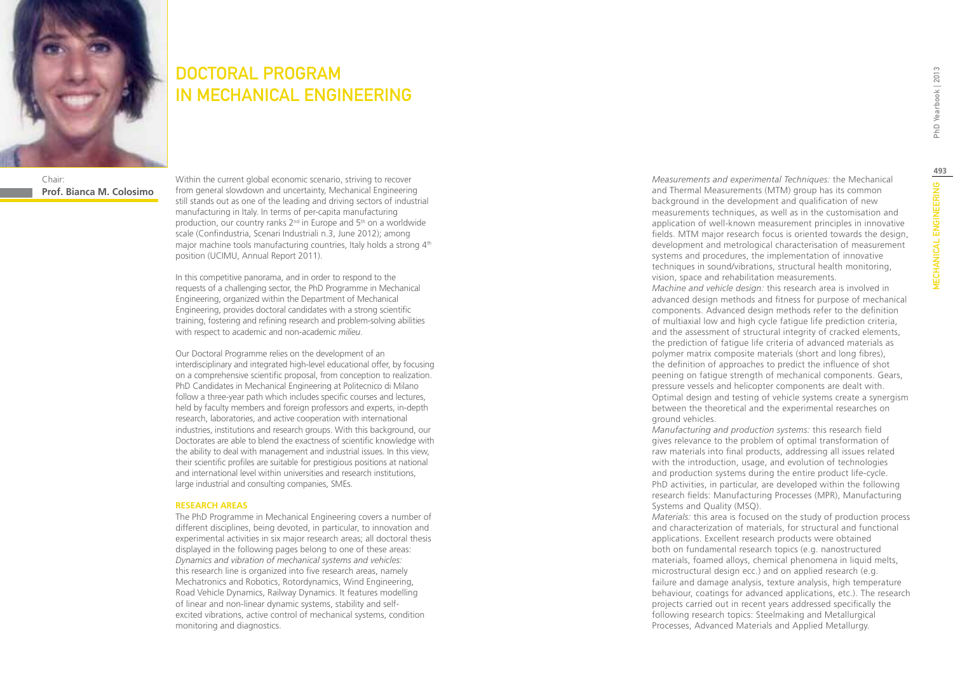

# DOCTORAL PROGRAM IN MECHANICAL ENGINEERING

Chair: **Prof. Bianca M. Colosimo** Within the current global economic scenario, striving to recover from general slowdown and uncertainty, Mechanical Engineering still stands out as one of the leading and driving sectors of industrial manufacturing in Italy. In terms of per-capita manufacturing production, our country ranks  $2^{nd}$  in Europe and  $5<sup>th</sup>$  on a worldwide scale (Confindustria, Scenari Industriali n.3, June 2012); among major machine tools manufacturing countries, Italy holds a strong 4<sup>th</sup> position (UCIMU, Annual Report 2011).

In this competitive panorama, and in order to respond to the requests of a challenging sector, the PhD Programme in Mechanical Engineering, organized within the Department of Mechanical Engineering, provides doctoral candidates with a strong scientific training, fostering and refining research and problem-solving abilities with respect to academic and non-academic *milieu*.

Our Doctoral Programme relies on the development of an interdisciplinary and integrated high-level educational offer, by focusing on a comprehensive scientific proposal, from conception to realization. PhD Candidates in Mechanical Engineering at Politecnico di Milano follow a three-year path which includes specific courses and lectures, held by faculty members and foreign professors and experts, in-depth research, laboratories, and active cooperation with international industries, institutions and research groups. With this background, our Doctorates are able to blend the exactness of scientific knowledge with the ability to deal with management and industrial issues. In this view, their scientific profiles are suitable for prestigious positions at national and international level within universities and research institutions, large industrial and consulting companies, SMEs.

#### **RESEARCH AREAS**

The PhD Programme in Mechanical Engineering covers a number of different disciplines, being devoted, in particular, to innovation and experimental activities in six major research areas; all doctoral thesis displayed in the following pages belong to one of these areas: *Dynamics and vibration of mechanical systems and vehicles:*  this research line is organized into five research areas, namely Mechatronics and Robotics, Rotordynamics, Wind Engineering, Road Vehicle Dynamics, Railway Dynamics. It features modelling of linear and non-linear dynamic systems, stability and selfexcited vibrations, active control of mechanical systems, condition monitoring and diagnostics.

*Measurements and experimental Techniques:* the Mechanical and Thermal Measurements (MTM) group has its common background in the development and qualification of new measurements techniques, as well as in the customisation and application of well-known measurement principles in innovative fields. MTM major research focus is oriented towards the design, development and metrological characterisation of measurement systems and procedures, the implementation of innovative techniques in sound/vibrations, structural health monitoring, vision, space and rehabilitation measurements.

*Machine and vehicle design:* this research area is involved in advanced design methods and fitness for purpose of mechanical components. Advanced design methods refer to the definition of multiaxial low and high cycle fatigue life prediction criteria, and the assessment of structural integrity of cracked elements, the prediction of fatigue life criteria of advanced materials as polymer matrix composite materials (short and long fibres), the definition of approaches to predict the influence of shot peening on fatigue strength of mechanical components. Gears, pressure vessels and helicopter components are dealt with. Optimal design and testing of vehicle systems create a synergism between the theoretical and the experimental researches on ground vehicles.

*Manufacturing and production systems:* this research field gives relevance to the problem of optimal transformation of raw materials into final products, addressing all issues related with the introduction, usage, and evolution of technologies and production systems during the entire product life-cycle. PhD activities, in particular, are developed within the following research fields: Manufacturing Processes (MPR), Manufacturing Systems and Quality (MSQ).

*Materials:* this area is focused on the study of production process and characterization of materials, for structural and functional applications. Excellent research products were obtained both on fundamental research topics (e.g. nanostructured materials, foamed alloys, chemical phenomena in liquid melts, microstructural design ecc.) and on applied research (e.g. failure and damage analysis, texture analysis, high temperature behaviour, coatings for advanced applications, etc.). The research projects carried out in recent years addressed specifically the following research topics: Steelmaking and Metallurgical Processes, Advanced Materials and Applied Metallurgy.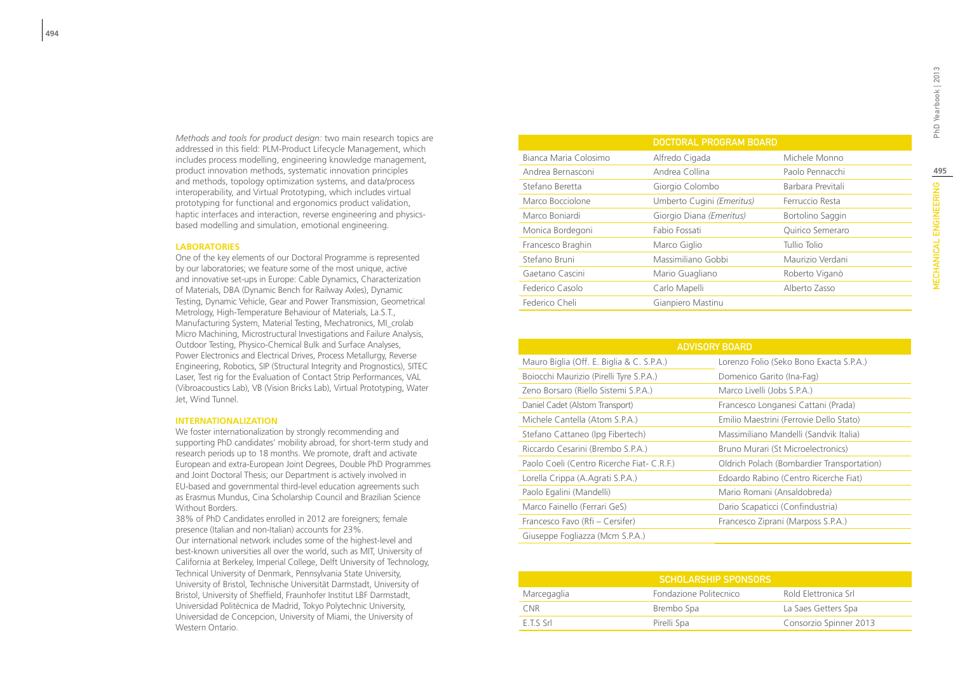*Methods and tools for product design:* two main research topics are addressed in this field: PLM-Product Lifecycle Management, which includes process modelling, engineering knowledge management, product innovation methods, systematic innovation principles and methods, topology optimization systems, and data/process interoperability, and Virtual Prototyping, which includes virtual prototyping for functional and ergonomics product validation, haptic interfaces and interaction, reverse engineering and physicsbased modelling and simulation, emotional engineering.

#### **LABORATORIES**

One of the key elements of our Doctoral Programme is represented by our laboratories; we feature some of the most unique, active and innovative set-ups in Europe: Cable Dynamics, Characterization of Materials, DBA (Dynamic Bench for Railway Axles), Dynamic Testing, Dynamic Vehicle, Gear and Power Transmission, Geometrical Metrology, High-Temperature Behaviour of Materials, La.S.T., Manufacturing System, Material Testing, Mechatronics, MI\_crolab Micro Machining, Microstructural Investigations and Failure Analysis, Outdoor Testing, Physico-Chemical Bulk and Surface Analyses, Power Electronics and Electrical Drives, Process Metallurgy, Reverse Engineering, Robotics, SIP (Structural Integrity and Prognostics), SITEC Laser, Test rig for the Evaluation of Contact Strip Performances, VAL (Vibroacoustics Lab), VB (Vision Bricks Lab), Virtual Prototyping, Water Jet, Wind Tunnel.

#### **INTERNATIONALIZATION**

We foster internationalization by strongly recommending and supporting PhD candidates' mobility abroad, for short-term study and research periods up to 18 months. We promote, draft and activate European and extra-European Joint Degrees, Double PhD Programmes and Joint Doctoral Thesis; our Department is actively involved in EU-based and governmental third-level education agreements such as Erasmus Mundus, Cina Scholarship Council and Brazilian Science Without Borders.

38% of PhD Candidates enrolled in 2012 are foreigners; female presence (Italian and non-Italian) accounts for 23%. Our international network includes some of the highest-level and best-known universities all over the world, such as MIT, University of California at Berkeley, Imperial College, Delft University of Technology, Technical University of Denmark, Pennsylvania State University, University of Bristol, Technische Universität Darmstadt, University of Bristol, University of Sheffield, Fraunhofer Institut LBF Darmstadt, Universidad Politécnica de Madrid, Tokyo Polytechnic University, Universidad de Concepcion, University of Miami, the University of Western Ontario.

|                       | <b>DOCTORAL PROGRAM BOARD</b> |                   |
|-----------------------|-------------------------------|-------------------|
| Bianca Maria Colosimo | Alfredo Cigada                | Michele Monno     |
| Andrea Bernasconi     | Andrea Collina                | Paolo Pennacchi   |
| Stefano Beretta       | Giorgio Colombo               | Barbara Previtali |
| Marco Bocciolone      | Umberto Cugini (Emeritus)     | Ferruccio Resta   |
| Marco Boniardi        | Giorgio Diana (Emeritus)      | Bortolino Saggin  |
| Monica Bordegoni      | Fabio Fossati                 | Quirico Semeraro  |
| Francesco Braghin     | Marco Giglio                  | Tullio Tolio      |
| Stefano Bruni         | Massimiliano Gobbi            | Maurizio Verdani  |
| Gaetano Cascini       | Mario Guagliano               | Roberto Viganò    |
| Federico Casolo       | Carlo Mapelli                 | Alberto Zasso     |
| Federico Cheli        | Gianpiero Mastinu             |                   |

| <b>ADVISORY BOARD</b>                      |                                            |  |  |  |
|--------------------------------------------|--------------------------------------------|--|--|--|
| Mauro Biglia (Off. E. Biglia & C. S.P.A.)  | Lorenzo Folio (Seko Bono Exacta S.P.A.)    |  |  |  |
| Boiocchi Maurizio (Pirelli Tyre S.P.A.)    | Domenico Garito (Ina-Fag)                  |  |  |  |
| Zeno Borsaro (Riello Sistemi S.P.A.)       | Marco Livelli (Jobs S.P.A.)                |  |  |  |
| Daniel Cadet (Alstom Transport)            | Francesco Longanesi Cattani (Prada)        |  |  |  |
| Michele Cantella (Atom S.P.A.)             | Emilio Maestrini (Ferrovie Dello Stato)    |  |  |  |
| Stefano Cattaneo (Ipg Fibertech)           | Massimiliano Mandelli (Sandvik Italia)     |  |  |  |
| Riccardo Cesarini (Brembo S.P.A.)          | Bruno Murari (St Microelectronics)         |  |  |  |
| Paolo Coeli (Centro Ricerche Fiat- C.R.F.) | Oldrich Polach (Bombardier Transportation) |  |  |  |
| Lorella Crippa (A. Agrati S.P.A.)          | Edoardo Rabino (Centro Ricerche Fiat)      |  |  |  |
| Paolo Egalini (Mandelli)                   | Mario Romani (Ansaldobreda)                |  |  |  |
| Marco Fainello (Ferrari GeS)               | Dario Scapaticci (Confindustria)           |  |  |  |
| Francesco Favo (Rfi – Cersifer)            | Francesco Ziprani (Marposs S.P.A.)         |  |  |  |
| Giuseppe Fogliazza (Mcm S.P.A.)            |                                            |  |  |  |

| <b>SCHOLARSHIP SPONSORS</b> |                        |                        |  |  |
|-----------------------------|------------------------|------------------------|--|--|
| Marcegaglia                 | Fondazione Politecnico | Rold Elettronica Srl   |  |  |
| CNR <sup>-</sup>            | Brembo Spa             | La Saes Getters Spa    |  |  |
| $FTS$ Srl                   | Pirelli Spa            | Consorzio Spinner 2013 |  |  |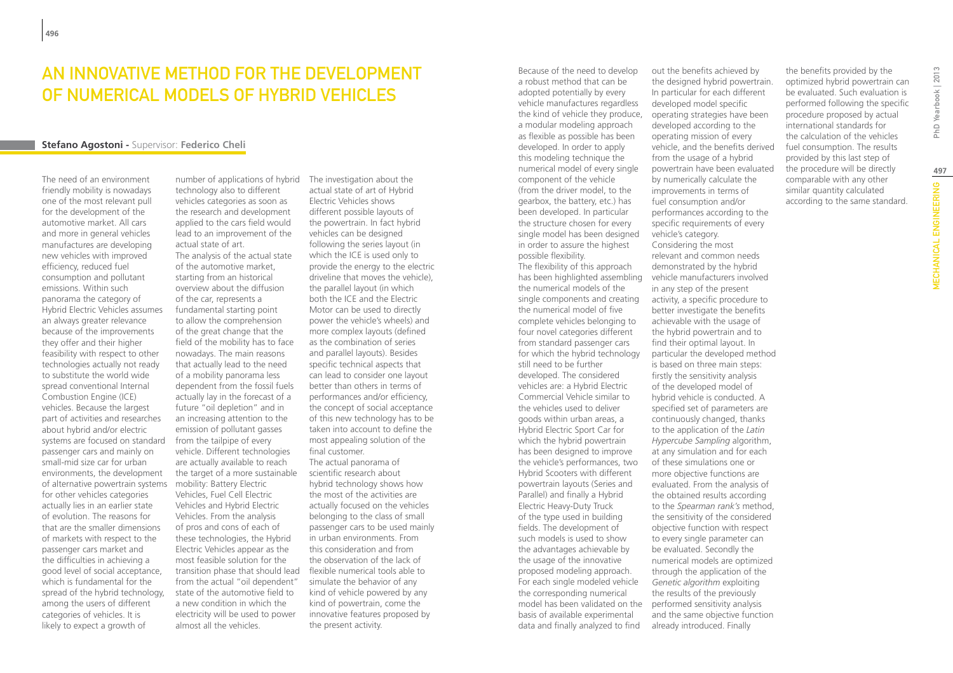### An innovative method for the development of numerical models of hybrid vehicles

#### **Stefano Agostoni -** Supervisor: **Federico Cheli**

The need of an environment friendly mobility is nowadays one of the most relevant pull for the development of the automotive market. All cars and more in general vehicles manufactures are developing new vehicles with improved efficiency, reduced fuel consumption and pollutant emissions. Within such panorama the category of Hybrid Electric Vehicles assumes an always greater relevance because of the improvements they offer and their higher feasibility with respect to other technologies actually not ready to substitute the world wide spread conventional Internal Combustion Engine (ICE) vehicles. Because the largest part of activities and researches about hybrid and/or electric systems are focused on standard passenger cars and mainly on small-mid size car for urban environments, the development of alternative powertrain systems for other vehicles categories actually lies in an earlier state of evolution. The reasons for that are the smaller dimensions of markets with respect to the passenger cars market and the difficulties in achieving a good level of social acceptance, which is fundamental for the spread of the hybrid technology, among the users of different categories of vehicles. It is likely to expect a growth of

number of applications of hybrid The investigation about the technology also to different vehicles categories as soon as the research and development applied to the cars field would lead to an improvement of the actual state of art. The analysis of the actual state of the automotive market, starting from an historical overview about the diffusion of the car, represents a fundamental starting point to allow the comprehension of the great change that the field of the mobility has to face nowadays. The main reasons that actually lead to the need of a mobility panorama less dependent from the fossil fuels actually lay in the forecast of a future "oil depletion" and in an increasing attention to the emission of pollutant gasses from the tailpipe of every vehicle. Different technologies are actually available to reach the target of a more sustainable mobility: Battery Electric Vehicles, Fuel Cell Electric Vehicles and Hybrid Electric Vehicles. From the analysis of pros and cons of each of these technologies, the Hybrid Electric Vehicles appear as the most feasible solution for the transition phase that should lead flexible numerical tools able to from the actual "oil dependent" state of the automotive field to a new condition in which the electricity will be used to power almost all the vehicles.

actual state of art of Hybrid Electric Vehicles shows different possible layouts of the powertrain. In fact hybrid vehicles can be designed following the series layout (in which the ICE is used only to provide the energy to the electric driveline that moves the vehicle), the parallel layout (in which both the ICE and the Electric Motor can be used to directly power the vehicle's wheels) and more complex layouts (defined as the combination of series and parallel layouts). Besides specific technical aspects that can lead to consider one layout better than others in terms of performances and/or efficiency, the concept of social acceptance of this new technology has to be taken into account to define the most appealing solution of the final customer. The actual panorama of scientific research about hybrid technology shows how the most of the activities are actually focused on the vehicles belonging to the class of small passenger cars to be used mainly in urban environments. From this consideration and from the observation of the lack of simulate the behavior of any kind of vehicle powered by any kind of powertrain, come the innovative features proposed by the present activity.

Because of the need to develop a robust method that can be adopted potentially by every vehicle manufactures regardless the kind of vehicle they produce, a modular modeling approach as flexible as possible has been developed. In order to apply this modeling technique the numerical model of every single component of the vehicle (from the driver model, to the gearbox, the battery, etc.) has been developed. In particular the structure chosen for every single model has been designed in order to assure the highest possible flexibility. The flexibility of this approach has been highlighted assembling the numerical models of the single components and creating the numerical model of five complete vehicles belonging to four novel categories different from standard passenger cars for which the hybrid technology still need to be further developed. The considered vehicles are: a Hybrid Electric Commercial Vehicle similar to the vehicles used to deliver goods within urban areas, a Hybrid Electric Sport Car for which the hybrid powertrain has been designed to improve the vehicle's performances, two Hybrid Scooters with different powertrain layouts (Series and Parallel) and finally a Hybrid Electric Heavy-Duty Truck of the type used in building fields. The development of such models is used to show the advantages achievable by the usage of the innovative proposed modeling approach. For each single modeled vehicle the corresponding numerical model has been validated on the basis of available experimental data and finally analyzed to find

out the benefits achieved by the designed hybrid powertrain. In particular for each different developed model specific operating strategies have been developed according to the operating mission of every vehicle, and the benefits derived from the usage of a hybrid powertrain have been evaluated by numerically calculate the improvements in terms of fuel consumption and/or performances according to the specific requirements of every vehicle's category. Considering the most relevant and common needs demonstrated by the hybrid vehicle manufacturers involved in any step of the present activity, a specific procedure to better investigate the benefits achievable with the usage of the hybrid powertrain and to find their optimal layout. In particular the developed method is based on three main steps: firstly the sensitivity analysis of the developed model of hybrid vehicle is conducted. A specified set of parameters are continuously changed, thanks to the application of the *Latin Hypercube Sampling* algorithm, at any simulation and for each of these simulations one or more objective functions are evaluated. From the analysis of the obtained results according to the *Spearman rank's* method, the sensitivity of the considered objective function with respect to every single parameter can be evaluated. Secondly the numerical models are optimized through the application of the *Genetic algorithm* exploiting the results of the previously performed sensitivity analysis and the same objective function already introduced. Finally

the benefits provided by the optimized hybrid powertrain can be evaluated. Such evaluation is performed following the specific procedure proposed by actual international standards for the calculation of the vehicles fuel consumption. The results provided by this last step of the procedure will be directly comparable with any other similar quantity calculated according to the same standard.

Yearbook | 2013

PhD)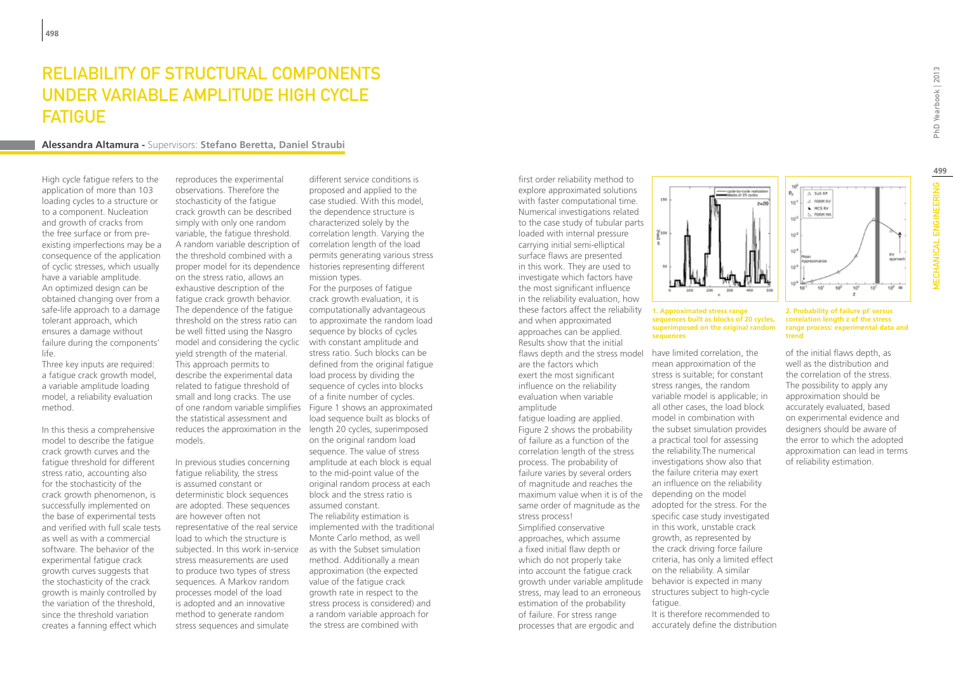### Reliability of structural components under variable amplitude high cycle **FATIGUE**

#### **Alessandra Altamura -** Supervisors: **Stefano Beretta, Daniel Straubi**

High cycle fatigue refers to the application of more than 103 loading cycles to a structure or to a component. Nucleation and growth of cracks from the free surface or from preexisting imperfections may be a consequence of the application of cyclic stresses, which usually have a variable amplitude. An optimized design can be obtained changing over from a safe-life approach to a damage tolerant approach, which ensures a damage without failure during the components' life.

Three key inputs are required: a fatigue crack growth model, a variable amplitude loading model, a reliability evaluation method.

In this thesis a comprehensive model to describe the fatigue crack growth curves and the fatigue threshold for different stress ratio, accounting also for the stochasticity of the crack growth phenomenon, is successfully implemented on the base of experimental tests and verified with full scale tests as well as with a commercial software. The behavior of the experimental fatigue crack growth curves suggests that the stochasticity of the crack growth is mainly controlled by the variation of the threshold, since the threshold variation creates a fanning effect which

reproduces the experimental observations. Therefore the stochasticity of the fatigue crack growth can be described simply with only one random variable, the fatigue threshold. A random variable description of the threshold combined with a proper model for its dependence histories representing different on the stress ratio, allows an exhaustive description of the fatigue crack growth behavior. The dependence of the fatigue threshold on the stress ratio can be well fitted using the Nasgro model and considering the cyclic with constant amplitude and yield strength of the material. This approach permits to describe the experimental data related to fatigue threshold of small and long cracks. The use the statistical assessment and reduces the approximation in the length 20 cycles, superimposed models.

In previous studies concerning fatique reliability, the stress is assumed constant or deterministic block sequences are adopted. These sequences are however often not representative of the real service load to which the structure is subjected. In this work in-service stress measurements are used to produce two types of stress sequences. A Markov random processes model of the load is adopted and an innovative method to generate random stress sequences and simulate

different service conditions is proposed and applied to the case studied. With this model, the dependence structure is characterized solely by the correlation length. Varying the correlation length of the load permits generating various stress mission types.

of one random variable simplifies Figure 1 shows an approximated For the purposes of fatigue crack growth evaluation, it is computationally advantageous to approximate the random load sequence by blocks of cycles stress ratio. Such blocks can be defined from the original fatigue load process by dividing the sequence of cycles into blocks of a finite number of cycles. load sequence built as blocks of on the original random load sequence. The value of stress amplitude at each block is equal to the mid-point value of the original random process at each block and the stress ratio is assumed constant. The reliability estimation is implemented with the traditional Monte Carlo method, as well as with the Subset simulation method. Additionally a mean approximation (the expected value of the fatigue crack growth rate in respect to the stress process is considered) and a random variable approach for the stress are combined with

first order reliability method to explore approximated solutions with faster computational time. Numerical investigations related to the case study of tubular parts loaded with internal pressure carrying initial semi-elliptical surface flaws are presented in this work. They are used to investigate which factors have the most significant influence in the reliability evaluation, how these factors affect the reliability and when approximated approaches can be applied. Results show that the initial flaws depth and the stress model have limited correlation, the are the factors which exert the most significant influence on the reliability evaluation when variable amplitude fatigue loading are applied.

Figure 2 shows the probability of failure as a function of the correlation length of the stress process. The probability of failure varies by several orders of magnitude and reaches the maximum value when it is of the depending on the model same order of magnitude as the stress process! Simplified conservative approaches, which assume a fixed initial flaw depth or which do not properly take into account the fatigue crack growth under variable amplitude behavior is expected in many stress, may lead to an erroneous estimation of the probability of failure. For stress range processes that are ergodic and



#### **1. Approximated stress range sequences built as blocks of 20 cycles, superimposed on the original random sequences**

mean approximation of the stress is suitable; for constant stress ranges, the random variable model is applicable; in all other cases, the load block model in combination with the subset simulation provides a practical tool for assessing the reliability.The numerical investigations show also that the failure criteria may exert an influence on the reliability adopted for the stress. For the specific case study investigated in this work, unstable crack growth, as represented by the crack driving force failure criteria, has only a limited effect on the reliability. A similar structures subject to high-cycle fatigue. It is therefore recommended to

accurately define the distribution

#### **2. Probability of failure pF versus correlation length z of the stress range process: experimental data and trend**

 $\frac{1}{10}$ 

of the initial flaws depth, as well as the distribution and the correlation of the stress. The possibility to apply any approximation should be accurately evaluated, based on experimental evidence and designers should be aware of the error to which the adopted approximation can lead in terms of reliability estimation.

w

PhD Yearbook | 2013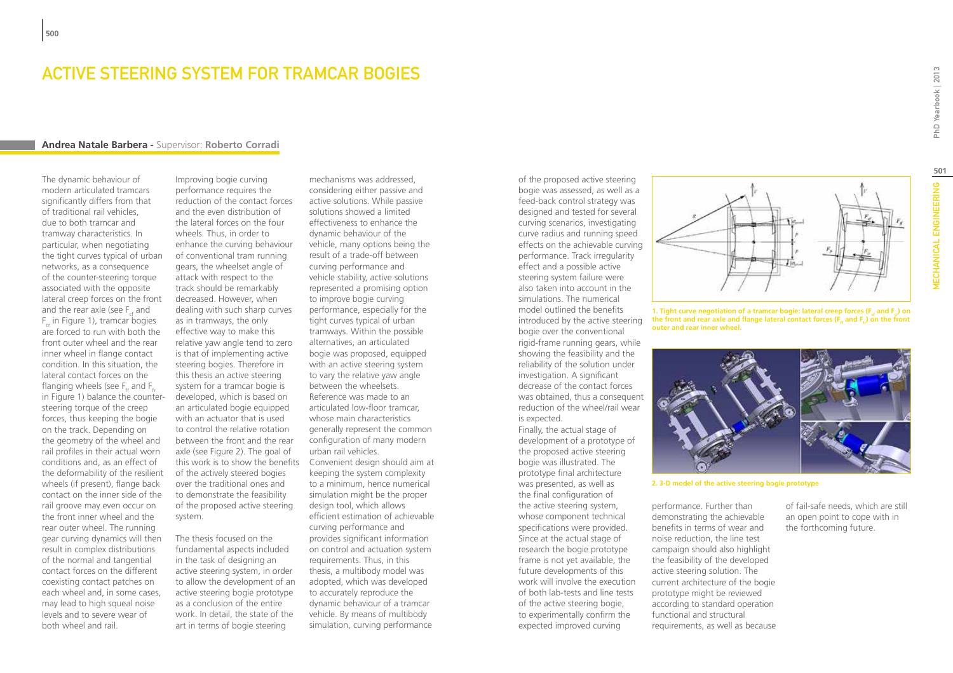### ACTIVE STEERING SYSTEM FOR TRAMCAR BOGIES

#### **Andrea Natale Barbera -** Supervisor: **Roberto Corradi**

The dynamic behaviour of modern articulated tramcars significantly differs from that of traditional rail vehicles, due to both tramcar and tramway characteristics. In particular, when negotiating the tight curves typical of urban networks, as a consequence of the counter-steering torque associated with the opposite lateral creep forces on the front and the rear axle (see  $F<sub>x</sub>$  and F in Figure 1), tramcar bogies are forced to run with both the front outer wheel and the rear inner wheel in flange contact condition. In this situation, the lateral contact forces on the flanging wheels (see  $F_{\mu}$  and  $F_{\mu}$ ) in Figure 1) balance the countersteering torque of the creep forces, thus keeping the bogie on the track. Depending on the geometry of the wheel and rail profiles in their actual worn conditions and, as an effect of the deformability of the resilient wheels (if present), flange back contact on the inner side of the rail groove may even occur on the front inner wheel and the rear outer wheel. The running gear curving dynamics will then result in complex distributions of the normal and tangential contact forces on the different coexisting contact patches on each wheel and, in some cases, may lead to high squeal noise levels and to severe wear of both wheel and rail.

Improving bogie curving performance requires the reduction of the contact forces and the even distribution of the lateral forces on the four wheels. Thus, in order to enhance the curving behaviour of conventional tram running gears, the wheelset angle of attack with respect to the track should be remarkably decreased. However, when dealing with such sharp curves as in tramways, the only effective way to make this relative yaw angle tend to zero is that of implementing active steering bogies. Therefore in this thesis an active steering system for a tramcar bogie is developed, which is based on an articulated bogie equipped with an actuator that is used to control the relative rotation between the front and the rear axle (see Figure 2). The goal of of the actively steered bogies over the traditional ones and to demonstrate the feasibility of the proposed active steering system.

The thesis focused on the fundamental aspects included in the task of designing an active steering system, in order to allow the development of an active steering bogie prototype as a conclusion of the entire work. In detail, the state of the art in terms of bogie steering

this work is to show the benefits Convenient design should aim at mechanisms was addressed, considering either passive and active solutions. While passive solutions showed a limited effectiveness to enhance the dynamic behaviour of the vehicle, many options being the result of a trade-off between curving performance and vehicle stability, active solutions represented a promising option to improve bogie curving performance, especially for the tight curves typical of urban tramways. Within the possible alternatives, an articulated bogie was proposed, equipped with an active steering system to vary the relative yaw angle between the wheelsets. Reference was made to an articulated low-floor tramcar, whose main characteristics generally represent the common configuration of many modern urban rail vehicles. keeping the system complexity to a minimum, hence numerical simulation might be the proper design tool, which allows efficient estimation of achievable curving performance and provides significant information on control and actuation system requirements. Thus, in this thesis, a multibody model was adopted, which was developed to accurately reproduce the dynamic behaviour of a tramcar vehicle. By means of multibody simulation, curving performance

of the proposed active steering bogie was assessed, as well as a feed-back control strategy was designed and tested for several curving scenarios, investigating curve radius and running speed effects on the achievable curving performance. Track irregularity effect and a possible active steering system failure were also taken into account in the simulations. The numerical model outlined the benefits introduced by the active steering bogie over the conventional rigid-frame running gears, while showing the feasibility and the reliability of the solution under investigation. A significant decrease of the contact forces was obtained, thus a consequent reduction of the wheel/rail wear is expected.

Finally, the actual stage of development of a prototype of the proposed active steering bogie was illustrated. The prototype final architecture was presented, as well as the final configuration of the active steering system, whose component technical specifications were provided. Since at the actual stage of research the bogie prototype frame is not yet available, the future developments of this work will involve the execution of both lab-tests and line tests of the active steering bogie, to experimentally confirm the expected improved curving



**1. Tight curve negotiation of a tramcar bogie: lateral creep forces (F<sub>c</sub> and F<sub>c</sub>) on** the front and rear axle and flange lateral contact forces (F<sub>n</sub> and F<sub>n</sub>) on the front **outer and rear inner wheel.**



**2. 3-D model of the active steering bogie prototype**

performance. Further than demonstrating the achievable benefits in terms of wear and noise reduction, the line test campaign should also highlight the feasibility of the developed active steering solution. The current architecture of the bogie prototype might be reviewed according to standard operation functional and structural requirements, as well as because PhD Yearbook | 2013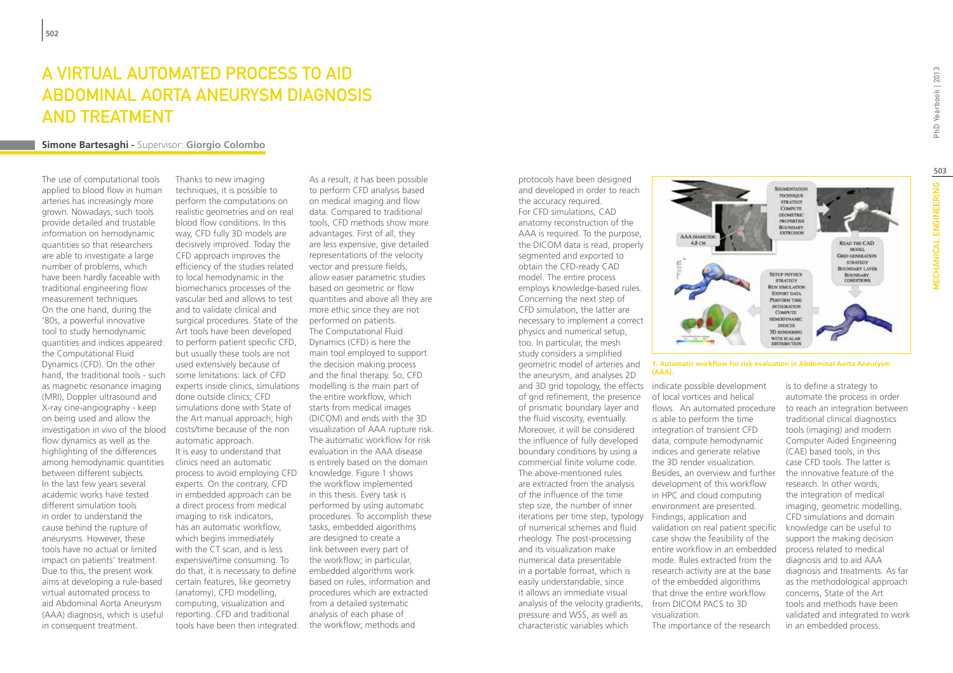# A virtual automated process to aid Abdominal Aorta Aneurysm diagnosis and treatment

#### **Simone Bartesaghi -** Supervisor: **Giorgio Colombo**

The use of computational tools applied to blood flow in human arteries has increasingly more grown. Nowadays, such tools provide detailed and trustable information on hemodynamic quantities so that researchers are able to investigate a large number of problems, which have been hardly faceable with traditional engineering flow measurement techniques. On the one hand, during the '80s, a powerful innovative tool to study hemodynamic quantities and indices appeared: the Computational Fluid Dynamics (CFD). On the other hand, the traditional tools - such as magnetic resonance imaging (MRI), Doppler ultrasound and X-ray cine-angiography - keep on being used and allow the investigation in vivo of the blood flow dynamics as well as the highlighting of the differences among hemodynamic quantities between different subjects. In the last few years several academic works have tested different simulation tools in order to understand the cause behind the rupture of aneurysms. However, these tools have no actual or limited impact on patients' treatment. Due to this, the present work aims at developing a rule-based virtual automated process to aid Abdominal Aorta Aneurysm (AAA) diagnosis, which is useful in consequent treatment.

Thanks to new imaging techniques, it is possible to perform the computations on realistic geometries and on real blood flow conditions. In this way, CFD fully 3D models are decisively improved. Today the CFD approach improves the efficiency of the studies related to local hemodynamic in the biomechanics processes of the vascular bed and allows to test and to validate clinical and surgical procedures. State of the Art tools have been developed to perform patient specific CFD, but usually these tools are not used extensively because of some limitations: lack of CFD experts inside clinics, simulations done outside clinics; CFD simulations done with State of the Art manual approach; high costs/time because of the non automatic approach. It is easy to understand that clinics need an automatic process to avoid employing CFD experts. On the contrary, CFD in embedded approach can be a direct process from medical imaging to risk indicators, has an automatic workflow, which begins immediately with the CT scan, and is less expensive/time consuming. To do that, it is necessary to define certain features, like geometry (anatomy), CFD modelling, computing, visualization and reporting. CFD and traditional tools have been then integrated.

As a result, it has been possible to perform CFD analysis based on medical imaging and flow data. Compared to traditional tools, CFD methods show more advantages. First of all, they are less expensive, give detailed representations of the velocity vector and pressure fields, allow easier parametric studies based on geometric or flow quantities and above all they are more ethic since they are not performed on patients. The Computational Fluid Dynamics (CFD) is here the main tool employed to support the decision making process and the final therapy. So, CFD modelling is the main part of the entire workflow, which starts from medical images (DICOM) and ends with the 3D visualization of AAA rupture risk. The automatic workflow for risk evaluation in the AAA disease is entirely based on the domain knowledge. Figure 1 shows the workflow implemented in this thesis. Every task is performed by using automatic procedures. To accomplish these tasks, embedded algorithms are designed to create a link between every part of the workflow; in particular, embedded algorithms work based on rules, information and procedures which are extracted from a detailed systematic analysis of each phase of the workflow; methods and

protocols have been designed and developed in order to reach the accuracy required. For CFD simulations, CAD anatomy reconstruction of the AAA is required. To the purpose, the DICOM data is read, properly segmented and exported to obtain the CFD-ready CAD model. The entire process employs knowledge-based rules. Concerning the next step of CFD simulation, the latter are necessary to implement a correct physics and numerical setup, too. In particular, the mesh study considers a simplified geometric model of arteries and the aneurysm, and analyses 2D and 3D grid topology, the effects indicate possible development of grid refinement, the presence of prismatic boundary layer and the fluid viscosity, eventually. Moreover, it will be considered the influence of fully developed boundary conditions by using a commercial finite volume code. The above-mentioned rules are extracted from the analysis of the influence of the time step size, the number of inner iterations per time step, typology Findings, application and of numerical schemes and fluid rheology. The post-processing and its visualization make numerical data presentable in a portable format, which is easily understandable, since it allows an immediate visual analysis of the velocity gradients, pressure and WSS, as well as characteristic variables which



**1. Automatic workflow for risk evaluation in Abdominal Aorta Aneurysm (AAA).**

of local vortices and helical flows. An automated procedure is able to perform the time integration of transient CFD data, compute hemodynamic indices and generate relative the 3D render visualization. Besides, an overview and further development of this workflow in HPC and cloud computing environment are presented. validation on real patient specific case show the feasibility of the entire workflow in an embedded mode. Rules extracted from the research activity are at the base of the embedded algorithms that drive the entire workflow from DICOM PACS to 3D visualization. The importance of the research is to define a strategy to

automate the process in order to reach an integration between traditional clinical diagnostics tools (imaging) and modern Computer Aided Engineering (CAE) based tools, in this case CFD tools. The latter is the innovative feature of the research. In other words, the integration of medical imaging, geometric modelling, CFD simulations and domain knowledge can be useful to support the making decision process related to medical diagnosis and to aid AAA diagnosis and treatments. As far as the methodological approach concerns, State of the Art tools and methods have been validated and integrated to work in an embedded process.

**503**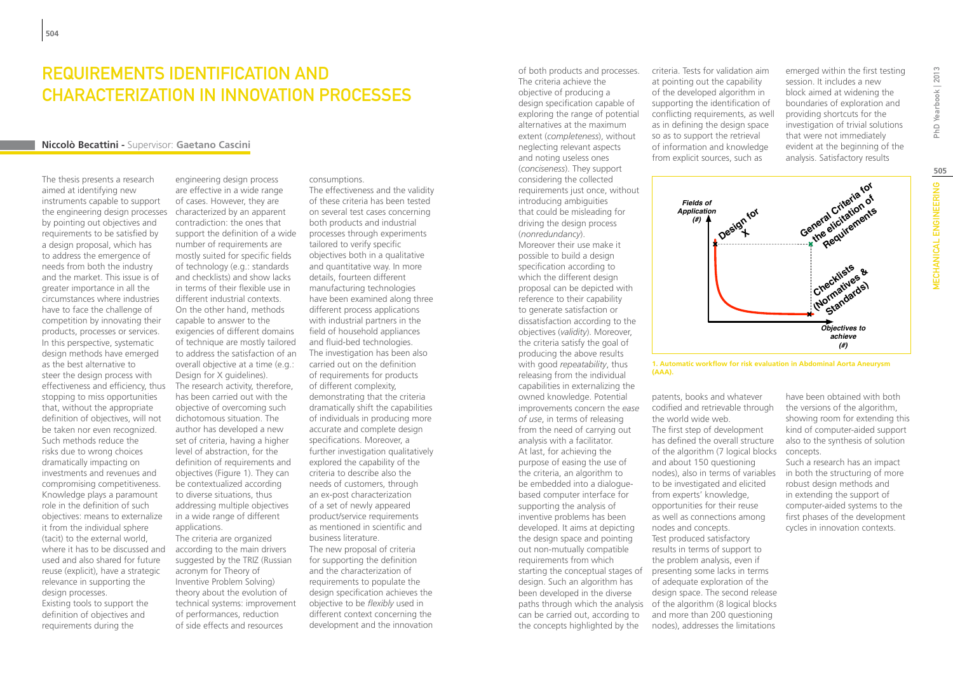### Requirements Identification and Characterization in Innovation Processes

#### **Niccolò Becattini -** Supervisor: **Gaetano Cascini**

The thesis presents a research aimed at identifying new instruments capable to support the engineering design processes by pointing out objectives and requirements to be satisfied by a design proposal, which has to address the emergence of needs from both the industry and the market. This issue is of greater importance in all the circumstances where industries have to face the challenge of competition by innovating their products, processes or services. In this perspective, systematic design methods have emerged as the best alternative to steer the design process with effectiveness and efficiency, thus stopping to miss opportunities that, without the appropriate definition of objectives, will not be taken nor even recognized. Such methods reduce the risks due to wrong choices dramatically impacting on investments and revenues and compromising competitiveness. Knowledge plays a paramount role in the definition of such objectives: means to externalize it from the individual sphere (tacit) to the external world, where it has to be discussed and used and also shared for future reuse (explicit), have a strategic relevance in supporting the design processes. Existing tools to support the definition of objectives and requirements during the

engineering design process are effective in a wide range of cases. However, they are characterized by an apparent contradiction: the ones that support the definition of a wide number of requirements are mostly suited for specific fields of technology (e.g.: standards and checklists) and show lacks in terms of their flexible use in different industrial contexts. On the other hand, methods capable to answer to the exigencies of different domains of technique are mostly tailored to address the satisfaction of an overall objective at a time (e.g.: Design for X guidelines). The research activity, therefore, has been carried out with the objective of overcoming such dichotomous situation. The author has developed a new set of criteria, having a higher level of abstraction, for the definition of requirements and objectives (Figure 1). They can be contextualized according to diverse situations, thus addressing multiple objectives in a wide range of different applications.

The criteria are organized according to the main drivers suggested by the TRIZ (Russian acronym for Theory of Inventive Problem Solving) theory about the evolution of technical systems: improvement of performances, reduction of side effects and resources

#### consumptions.

The effectiveness and the validity of these criteria has been tested on several test cases concerning both products and industrial processes through experiments tailored to verify specific objectives both in a qualitative and quantitative way. In more details, fourteen different manufacturing technologies have been examined along three different process applications with industrial partners in the field of household appliances and fluid-bed technologies. The investigation has been also carried out on the definition of requirements for products of different complexity, demonstrating that the criteria dramatically shift the capabilities of individuals in producing more accurate and complete design specifications. Moreover, a further investigation qualitatively explored the capability of the criteria to describe also the needs of customers, through an ex-post characterization of a set of newly appeared product/service requirements as mentioned in scientific and business literature. The new proposal of criteria for supporting the definition and the characterization of requirements to populate the design specification achieves the objective to be *flexibly* used in different context concerning the development and the innovation

The criteria achieve the objective of producing a design specification capable of exploring the range of potential alternatives at the maximum extent (*completeness*), without neglecting relevant aspects and noting useless ones (*conciseness*). They support considering the collected requirements just once, without introducing ambiguities that could be misleading for driving the design process (*nonredundancy*). Moreover their use make it possible to build a design specification according to which the different design proposal can be depicted with reference to their capability to generate satisfaction or dissatisfaction according to the objectives (*validity*). Moreover, the criteria satisfy the goal of producing the above results with good *repeatability*, thus releasing from the individual capabilities in externalizing the owned knowledge. Potential improvements concern the *ease of use*, in terms of releasing from the need of carrying out analysis with a facilitator. At last, for achieving the purpose of easing the use of the criteria, an algorithm to be embedded into a dialoguebased computer interface for supporting the analysis of inventive problems has been developed. It aims at depicting the design space and pointing out non-mutually compatible requirements from which starting the conceptual stages of design. Such an algorithm has been developed in the diverse can be carried out, according to the concepts highlighted by the

of both products and processes.

criteria. Tests for validation aim at pointing out the capability of the developed algorithm in supporting the identification of conflicting requirements, as well as in defining the design space so as to support the retrieval of information and knowledge from explicit sources, such as

emerged within the first testing session. It includes a new block aimed at widening the boundaries of exploration and providing shortcuts for the investigation of trivial solutions that were not immediately evident at the beginning of the analysis. Satisfactory results





paths through which the analysis of the algorithm (8 logical blocks patents, books and whatever codified and retrievable through the world wide web. The first step of development has defined the overall structure of the algorithm (7 logical blocks and about 150 questioning nodes), also in terms of variables to be investigated and elicited from experts' knowledge, opportunities for their reuse as well as connections among nodes and concepts. Test produced satisfactory results in terms of support to the problem analysis, even if presenting some lacks in terms of adequate exploration of the design space. The second release and more than 200 questioning nodes), addresses the limitations

have been obtained with both the versions of the algorithm, showing room for extending this kind of computer-aided support also to the synthesis of solution concepts.

Such a research has an impact in both the structuring of more robust design methods and in extending the support of computer-aided systems to the first phases of the development cycles in innovation contexts.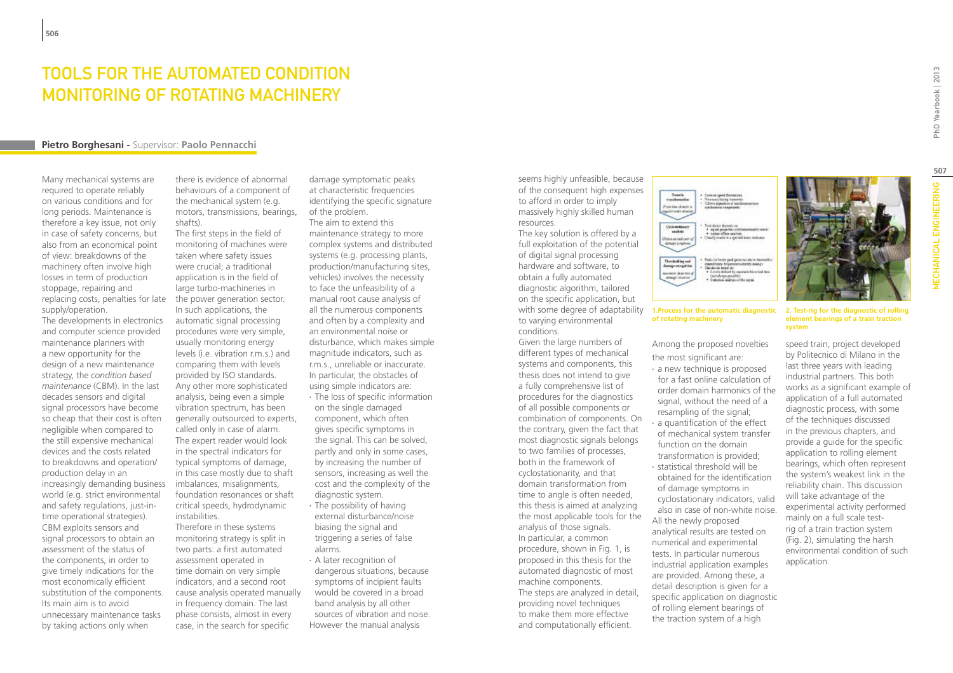### TOOLS FOR THE AUTOMATED CONDITION MONITORING OF ROTATING MACHINERY

#### **Pietro Borghesani -** Supervisor: **Paolo Pennacchi**

Many mechanical systems are required to operate reliably on various conditions and for long periods. Maintenance is therefore a key issue, not only in case of safety concerns, but also from an economical point of view: breakdowns of the machinery often involve high losses in term of production stoppage, repairing and replacing costs, penalties for late supply/operation.

The developments in electronics and computer science provided maintenance planners with a new opportunity for the design of a new maintenance strategy, the *condition based maintenance* (CBM). In the last decades sensors and digital signal processors have become so cheap that their cost is often negligible when compared to the still expensive mechanical devices and the costs related to breakdowns and operation/ production delay in an increasingly demanding business world (e.g. strict environmental and safety regulations, just-intime operational strategies). CBM exploits sensors and signal processors to obtain an assessment of the status of the components, in order to give timely indications for the most economically efficient substitution of the components. Its main aim is to avoid unnecessary maintenance tasks by taking actions only when

there is evidence of abnormal behaviours of a component of the mechanical system (e.g. motors, transmissions, bearings, shafts).

The first steps in the field of monitoring of machines were taken where safety issues were crucial; a traditional application is in the field of large turbo-machineries in the power generation sector. In such applications, the automatic signal processing procedures were very simple, usually monitoring energy levels (i.e. vibration r.m.s.) and comparing them with levels provided by ISO standards. Any other more sophisticated analysis, being even a simple vibration spectrum, has been generally outsourced to experts, called only in case of alarm. The expert reader would look in the spectral indicators for typical symptoms of damage, in this case mostly due to shaft imbalances, misalignments, foundation resonances or shaft critical speeds, hydrodynamic instabilities.

Therefore in these systems monitoring strategy is split in two parts: a first automated assessment operated in time domain on very simple indicators, and a second root cause analysis operated manually in frequency domain. The last phase consists, almost in every case, in the search for specific

damage symptomatic peaks at characteristic frequencies identifying the specific signature of the problem.

The aim to extend this maintenance strategy to more complex systems and distributed systems (e.g. processing plants, production/manufacturing sites, vehicles) involves the necessity to face the unfeasibility of a manual root cause analysis of all the numerous components and often by a complexity and an environmental noise or disturbance, which makes simple magnitude indicators, such as r.m.s., unreliable or inaccurate. In particular, the obstacles of using simple indicators are:

- ∙ The loss of specific information on the single damaged component, which often gives specific symptoms in the signal. This can be solved, partly and only in some cases, by increasing the number of sensors, increasing as well the cost and the complexity of the diagnostic system.
- ∙ The possibility of having external disturbance/noise biasing the signal and triggering a series of false alarms.
- ∙ A later recognition of dangerous situations, because symptoms of incipient faults would be covered in a broad band analysis by all other sources of vibration and noise.

However the manual analysis

seems highly unfeasible, because of the consequent high expenses to afford in order to imply massively highly skilled human resources.

The key solution is offered by a full exploitation of the potential of digital signal processing hardware and software, to obtain a fully automated diagnostic algorithm, tailored on the specific application, but with some degree of adaptability to varying environmental conditions.

Given the large numbers of different types of mechanical systems and components, this thesis does not intend to give a fully comprehensive list of procedures for the diagnostics of all possible components or combination of components. On the contrary, given the fact that most diagnostic signals belongs to two families of processes, both in the framework of cyclostationarity, and that domain transformation from time to angle is often needed, this thesis is aimed at analyzing the most applicable tools for the analysis of those signals. In particular, a common procedure, shown in Fig. 1, is proposed in this thesis for the automated diagnostic of most machine components. The steps are analyzed in detail, providing novel techniques to make them more effective and computationally efficient.

Verensey during tomic<br>Allows promotion of my mini dono Cyclested<br>madrix<br>Obstantinalizer<br>deruprizeplenz Ind days depends on<br>• sales office partes<br>• sales office partes<br>Illustry rests in a special index indicate habitan better pedi patterno above theseint Thresholding and fonogo ne ogsårke The do to book an:<br>• Lends defined by a sante diverso<br>Emere charten Ouri always possible).<br>Iraturista analysis et die nigmi.

#### **1.Process for the automatic diagnostic of rotating machinery**

Among the proposed novelties the most significant are:

- ∙ a new technique is proposed for a fast online calculation of order domain harmonics of the signal, without the need of a resampling of the signal; ∙ a quantification of the effect of mechanical system transfer
- function on the domain transformation is provided; ∙ statistical threshold will be obtained for the identification of damage symptoms in
- cyclostationary indicators, valid also in case of non-white noise. All the newly proposed analytical results are tested on numerical and experimental tests. In particular numerous industrial application examples are provided. Among these, a detail description is given for a specific application on diagnostic of rolling element bearings of the traction system of a high



PhD Yearbook | 2013

**2. Test-rig for the diagnostic of rolling element bearings of a train traction system**

speed train, project developed by Politecnico di Milano in the last three years with leading industrial partners. This both works as a significant example of application of a full automated diagnostic process, with some of the techniques discussed in the previous chapters, and provide a guide for the specific application to rolling element bearings, which often represent the system's weakest link in the reliability chain. This discussion will take advantage of the experimental activity performed mainly on a full scale testrig of a train traction system (Fig. 2), simulating the harsh environmental condition of such application.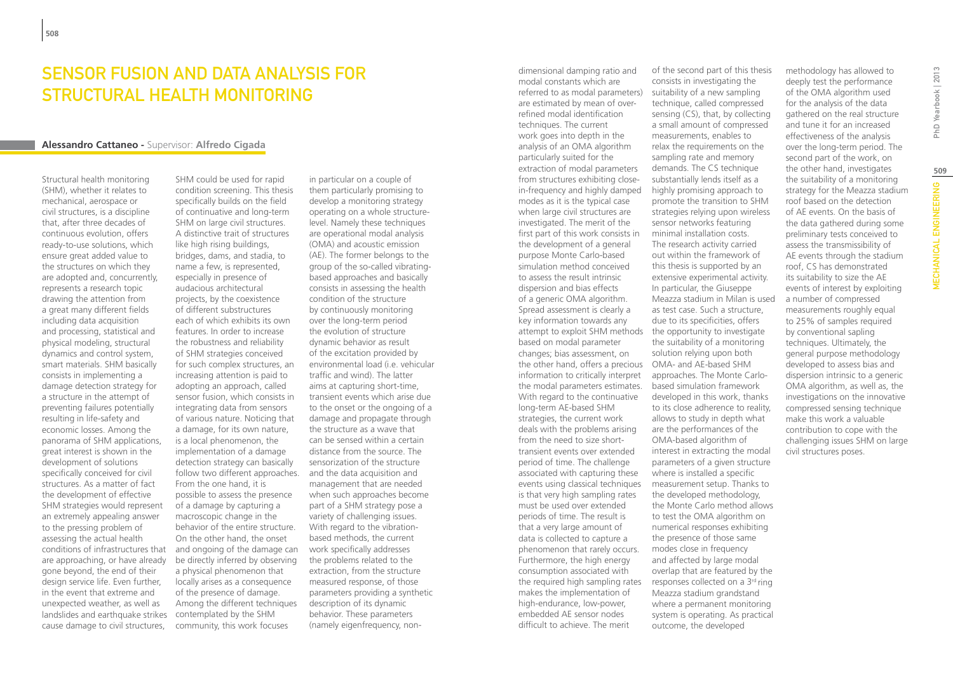### SENSOR FUSION AND DATA ANALYSIS FOR STRUCTURAL HEALTH MONITORING

#### **Alessandro Cattaneo -** Supervisor: **Alfredo Cigada**

Structural health monitoring (SHM), whether it relates to mechanical, aerospace or civil structures, is a discipline that, after three decades of continuous evolution, offers ready-to-use solutions, which ensure great added value to the structures on which they are adopted and, concurrently, represents a research topic drawing the attention from a great many different fields including data acquisition and processing, statistical and physical modeling, structural dynamics and control system, smart materials. SHM basically consists in implementing a damage detection strategy for a structure in the attempt of preventing failures potentially resulting in life-safety and economic losses. Among the panorama of SHM applications, great interest is shown in the development of solutions specifically conceived for civil structures. As a matter of fact the development of effective SHM strategies would represent an extremely appealing answer to the pressing problem of assessing the actual health conditions of infrastructures that are approaching, or have already gone beyond, the end of their design service life. Even further, in the event that extreme and unexpected weather, as well as landslides and earthquake strikes cause damage to civil structures,

SHM could be used for rapid condition screening. This thesis specifically builds on the field of continuative and long-term SHM on large civil structures. A distinctive trait of structures like high rising buildings, bridges, dams, and stadia, to name a few, is represented, especially in presence of audacious architectural projects, by the coexistence of different substructures each of which exhibits its own features. In order to increase the robustness and reliability of SHM strategies conceived for such complex structures, an increasing attention is paid to adopting an approach, called sensor fusion, which consists in integrating data from sensors of various nature. Noticing that a damage, for its own nature, is a local phenomenon, the implementation of a damage detection strategy can basically follow two different approaches. and the data acquisition and From the one hand, it is possible to assess the presence of a damage by capturing a macroscopic change in the behavior of the entire structure. On the other hand, the onset and ongoing of the damage can be directly inferred by observing a physical phenomenon that locally arises as a consequence of the presence of damage. Among the different techniques contemplated by the SHM community, this work focuses

in particular on a couple of them particularly promising to develop a monitoring strategy operating on a whole structurelevel. Namely these techniques are operational modal analysis (OMA) and acoustic emission (AE). The former belongs to the group of the so-called vibratingbased approaches and basically consists in assessing the health condition of the structure by continuously monitoring over the long-term period the evolution of structure dynamic behavior as result of the excitation provided by environmental load (i.e. vehicular traffic and wind). The latter aims at capturing short-time, transient events which arise due to the onset or the ongoing of a damage and propagate through the structure as a wave that can be sensed within a certain distance from the source. The sensorization of the structure management that are needed when such approaches become part of a SHM strategy pose a variety of challenging issues. With regard to the vibrationbased methods, the current work specifically addresses the problems related to the extraction, from the structure measured response, of those parameters providing a synthetic description of its dynamic behavior. These parameters (namely eigenfrequency, nondimensional damping ratio and modal constants which are referred to as modal parameters) are estimated by mean of overrefined modal identification techniques. The current work goes into depth in the analysis of an OMA algorithm particularly suited for the extraction of modal parameters from structures exhibiting closein-frequency and highly damped modes as it is the typical case when large civil structures are investigated. The merit of the first part of this work consists in the development of a general purpose Monte Carlo-based simulation method conceived to assess the result intrinsic dispersion and bias effects of a generic OMA algorithm. Spread assessment is clearly a key information towards any attempt to exploit SHM methods the opportunity to investigate based on modal parameter changes; bias assessment, on the other hand, offers a precious OMA- and AE-based SHM information to critically interpret the modal parameters estimates. With regard to the continuative long-term AE-based SHM strategies, the current work deals with the problems arising from the need to size shorttransient events over extended period of time. The challenge associated with capturing these events using classical techniques is that very high sampling rates must be used over extended periods of time. The result is that a very large amount of data is collected to capture a phenomenon that rarely occurs. Furthermore, the high energy consumption associated with the required high sampling rates makes the implementation of high-endurance, low-power, embedded AE sensor nodes difficult to achieve. The merit

of the second part of this thesis consists in investigating the suitability of a new sampling technique, called compressed sensing (CS), that, by collecting a small amount of compressed measurements, enables to relax the requirements on the sampling rate and memory demands. The CS technique substantially lends itself as a highly promising approach to promote the transition to SHM strategies relying upon wireless sensor networks featuring minimal installation costs. The research activity carried out within the framework of this thesis is supported by an extensive experimental activity. In particular, the Giuseppe Meazza stadium in Milan is used as test case. Such a structure, due to its specificities, offers the suitability of a monitoring solution relying upon both approaches. The Monte Carlobased simulation framework developed in this work, thanks to its close adherence to reality, allows to study in depth what are the performances of the OMA-based algorithm of interest in extracting the modal parameters of a given structure where is installed a specific measurement setup. Thanks to the developed methodology, the Monte Carlo method allows to test the OMA algorithm on numerical responses exhibiting the presence of those same modes close in frequency and affected by large modal overlap that are featured by the responses collected on a 3<sup>rd</sup> ring Meazza stadium grandstand where a permanent monitoring system is operating. As practical outcome, the developed

methodology has allowed to deeply test the performance of the OMA algorithm used for the analysis of the data gathered on the real structure and tune it for an increased effectiveness of the analysis over the long-term period. The second part of the work, on the other hand, investigates the suitability of a monitoring strategy for the Meazza stadium roof based on the detection of AE events. On the basis of the data gathered during some preliminary tests conceived to assess the transmissibility of AE events through the stadium roof, CS has demonstrated its suitability to size the AE events of interest by exploiting a number of compressed measurements roughly equal to 25% of samples required by conventional sapling techniques. Ultimately, the general purpose methodology developed to assess bias and dispersion intrinsic to a generic OMA algorithm, as well as, the investigations on the innovative compressed sensing technique make this work a valuable contribution to cope with the challenging issues SHM on large civil structures poses.

**509**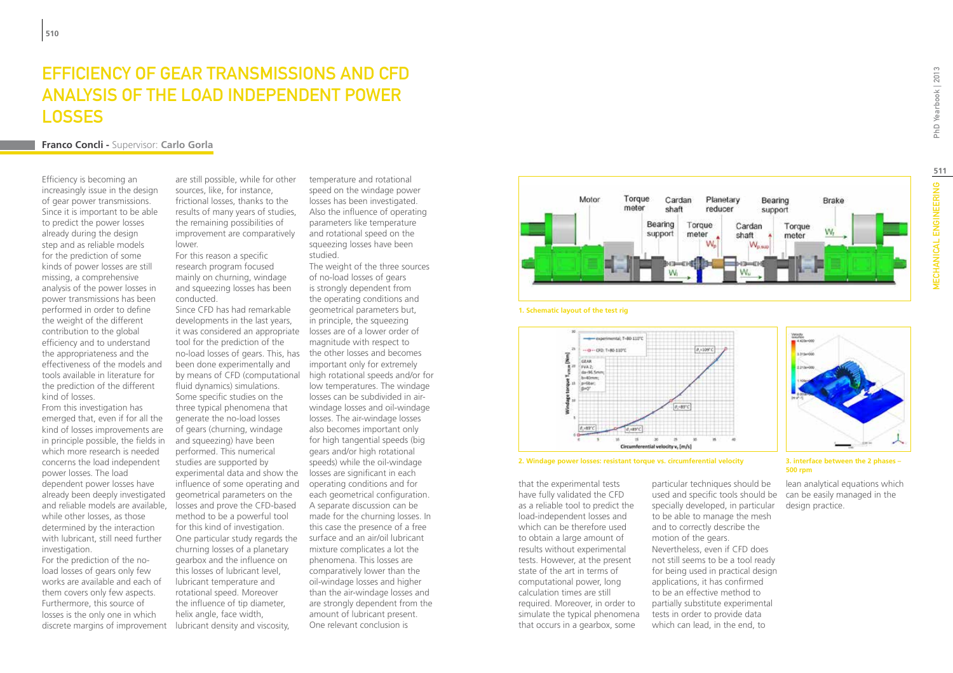### EFFICIENCY OF GEAR TRANSMISSIONS AND CFD ANALYSIS OF THE LOAD INDEPENDENT POWER **LOSSES**

#### **Franco Concli -** Supervisor: **Carlo Gorla**

Efficiency is becoming an increasingly issue in the design of gear power transmissions. Since it is important to be able to predict the power losses already during the design step and as reliable models for the prediction of some kinds of power losses are still missing, a comprehensive analysis of the power losses in power transmissions has been performed in order to define the weight of the different contribution to the global efficiency and to understand the appropriateness and the effectiveness of the models and tools available in literature for the prediction of the different kind of losses.

From this investigation has emerged that, even if for all the kind of losses improvements are in principle possible, the fields in which more research is needed concerns the load independent power losses. The load dependent power losses have already been deeply investigated and reliable models are available, while other losses, as those determined by the interaction with lubricant, still need further investigation.

For the prediction of the noload losses of gears only few works are available and each of them covers only few aspects. Furthermore, this source of losses is the only one in which discrete margins of improvement are still possible, while for other sources, like, for instance, frictional losses, thanks to the results of many years of studies, the remaining possibilities of improvement are comparatively lower.

For this reason a specific research program focused mainly on churning, windage and squeezing losses has been conducted.

Since CFD has had remarkable developments in the last years, it was considered an appropriate tool for the prediction of the no-load losses of gears. This, has the other losses and becomes been done experimentally and by means of CFD (computational fluid dynamics) simulations. Some specific studies on the three typical phenomena that generate the no-load losses of gears (churning, windage and squeezing) have been performed. This numerical studies are supported by experimental data and show the influence of some operating and geometrical parameters on the losses and prove the CFD-based method to be a powerful tool for this kind of investigation. One particular study regards the churning losses of a planetary gearbox and the influence on this losses of lubricant level, lubricant temperature and rotational speed. Moreover the influence of tip diameter, helix angle, face width, lubricant density and viscosity,

temperature and rotational speed on the windage power losses has been investigated. Also the influence of operating parameters like temperature and rotational speed on the squeezing losses have been studied.

The weight of the three sources of no-load losses of gears is strongly dependent from the operating conditions and geometrical parameters but, in principle, the squeezing losses are of a lower order of magnitude with respect to important only for extremely high rotational speeds and/or for low temperatures. The windage losses can be subdivided in airwindage losses and oil-windage losses. The air-windage losses also becomes important only for high tangential speeds (big gears and/or high rotational speeds) while the oil-windage losses are significant in each operating conditions and for each geometrical configuration. A separate discussion can be made for the churning losses. In this case the presence of a free surface and an air/oil lubricant mixture complicates a lot the phenomena. This losses are comparatively lower than the oil-windage losses and higher than the air-windage losses and are strongly dependent from the amount of lubricant present. One relevant conclusion is





GEAR



**2. Windage power losses: resistant torque vs. circumferential velocity 3. interface between the 2 phases –** 

that the experimental tests have fully validated the CFD as a reliable tool to predict the load-independent losses and which can be therefore used to obtain a large amount of results without experimental tests. However, at the present state of the art in terms of computational power, long calculation times are still required. Moreover, in order to simulate the typical phenomena that occurs in a gearbox, some

particular techniques should be used and specific tools should be specially developed, in particular to be able to manage the mesh and to correctly describe the motion of the gears. Nevertheless, even if CFD does not still seems to be a tool ready for being used in practical design applications, it has confirmed to be an effective method to partially substitute experimental tests in order to provide data which can lead, in the end, to



**500 rpm**

lean analytical equations which can be easily managed in the design practice.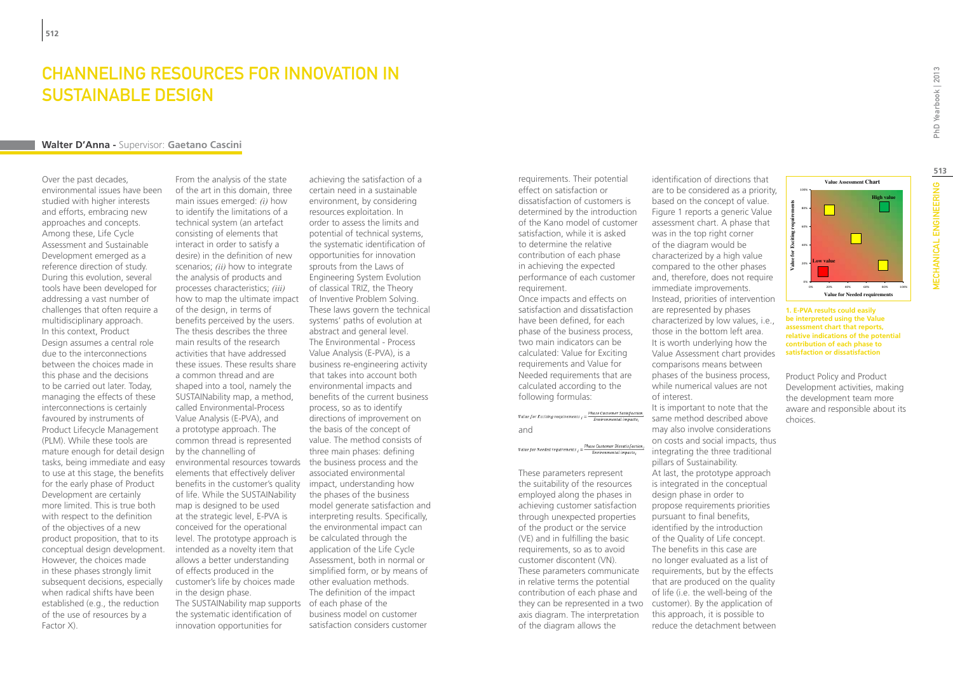### Channeling resources for Innovation in Sustainable Design

#### **Walter D'Anna -** Supervisor: **Gaetano Cascini**

Over the past decades, environmental issues have been studied with higher interests and efforts, embracing new approaches and concepts. Among these, Life Cycle Assessment and Sustainable Development emerged as a reference direction of study. During this evolution, several tools have been developed for addressing a vast number of challenges that often require a multidisciplinary approach. In this context, Product Design assumes a central role due to the interconnections between the choices made in this phase and the decisions to be carried out later. Today, managing the effects of these interconnections is certainly favoured by instruments of Product Lifecycle Management (PLM). While these tools are mature enough for detail design tasks, being immediate and easy to use at this stage, the benefits for the early phase of Product Development are certainly more limited. This is true both with respect to the definition of the objectives of a new product proposition, that to its conceptual design development. However, the choices made in these phases strongly limit subsequent decisions, especially when radical shifts have been established (e.g., the reduction of the use of resources by a Factor X).

From the analysis of the state of the art in this domain, three main issues emerged: *(i)* how to identify the limitations of a technical system (an artefact consisting of elements that interact in order to satisfy a desire) in the definition of new scenarios; *(ii)* how to integrate the analysis of products and processes characteristics; *(iii)* how to map the ultimate impact of Inventive Problem Solving. of the design, in terms of benefits perceived by the users. The thesis describes the three main results of the research activities that have addressed these issues. These results share a common thread and are shaped into a tool, namely the SUSTAINability map, a method, called Environmental-Process Value Analysis (E-PVA), and a prototype approach. The common thread is represented by the channelling of environmental resources towards the business process and the elements that effectively deliver benefits in the customer's quality impact, understanding how of life. While the SUSTAINability map is designed to be used at the strategic level, E-PVA is conceived for the operational level. The prototype approach is intended as a novelty item that allows a better understanding of effects produced in the customer's life by choices made in the design phase. The SUSTAINability map supports of each phase of the the systematic identification of innovation opportunities for

achieving the satisfaction of a certain need in a sustainable environment, by considering resources exploitation. In order to assess the limits and potential of technical systems, the systematic identification of opportunities for innovation sprouts from the Laws of Engineering System Evolution of classical TRIZ, the Theory These laws govern the technical systems' paths of evolution at abstract and general level. The Environmental - Process Value Analysis (E-PVA), is a business re-engineering activity that takes into account both environmental impacts and benefits of the current business process, so as to identify directions of improvement on the basis of the concept of value. The method consists of three main phases: defining associated environmental the phases of the business model generate satisfaction and interpreting results. Specifically, the environmental impact can be calculated through the application of the Life Cycle Assessment, both in normal or simplified form, or by means of other evaluation methods. The definition of the impact business model on customer satisfaction considers customer

requirements. Their potential effect on satisfaction or dissatisfaction of customers is determined by the introduction of the Kano model of customer satisfaction, while it is asked to determine the relative contribution of each phase in achieving the expected performance of each customer requirement.

Once impacts and effects on satisfaction and dissatisfaction have been defined, for each phase of the business process, two main indicators can be calculated: Value for Exciting requirements and Value for Needed requirements that are calculated according to the following formulas:

|                                  | Phase Customer Satisfaction, |  |
|----------------------------------|------------------------------|--|
| Value for Exciting requirements, | Environmental impacts;       |  |
| and                              |                              |  |

### Value for Needed requirements  $i = \frac{Phase\ Customer\ Dissatisfaction}{Empironmental\ impacts}$

These parameters represent the suitability of the resources employed along the phases in achieving customer satisfaction through unexpected properties of the product or the service (VE) and in fulfilling the basic requirements, so as to avoid customer discontent (VN). These parameters communicate in relative terms the potential contribution of each phase and they can be represented in a two customer). By the application of axis diagram. The interpretation of the diagram allows the

identification of directions that are to be considered as a priority, based on the concept of value. Figure 1 reports a generic Value assessment chart. A phase that was in the top right corner of the diagram would be characterized by a high value compared to the other phases and, therefore, does not require immediate improvements. Instead, priorities of intervention are represented by phases characterized by low values, i.e., those in the bottom left area. It is worth underlying how the Value Assessment chart provides comparisons means between phases of the business process, while numerical values are not of interest.

It is important to note that the same method described above may also involve considerations on costs and social impacts, thus integrating the three traditional pillars of Sustainability. At last, the prototype approach is integrated in the conceptual design phase in order to propose requirements priorities pursuant to final benefits, identified by the introduction of the Quality of Life concept. The benefits in this case are no longer evaluated as a list of requirements, but by the effects that are produced on the quality of life (i.e. the well-being of the this approach, it is possible to reduce the detachment between

100% **High valu Value for Exciting requirements**  80% H requi 60% Value for Exciting  $40'$ 20% **Low value**  0% 0% 20% 40% 60% 80% 100% **Value for Needed requirements** 

**Value Assessment Chart**

**1. E-PVA results could easily be interpreted using the Value assessment chart that reports, relative indications of the potential contribution of each phase to satisfaction or dissatisfaction**

Product Policy and Product Development activities, making the development team more aware and responsible about its choices.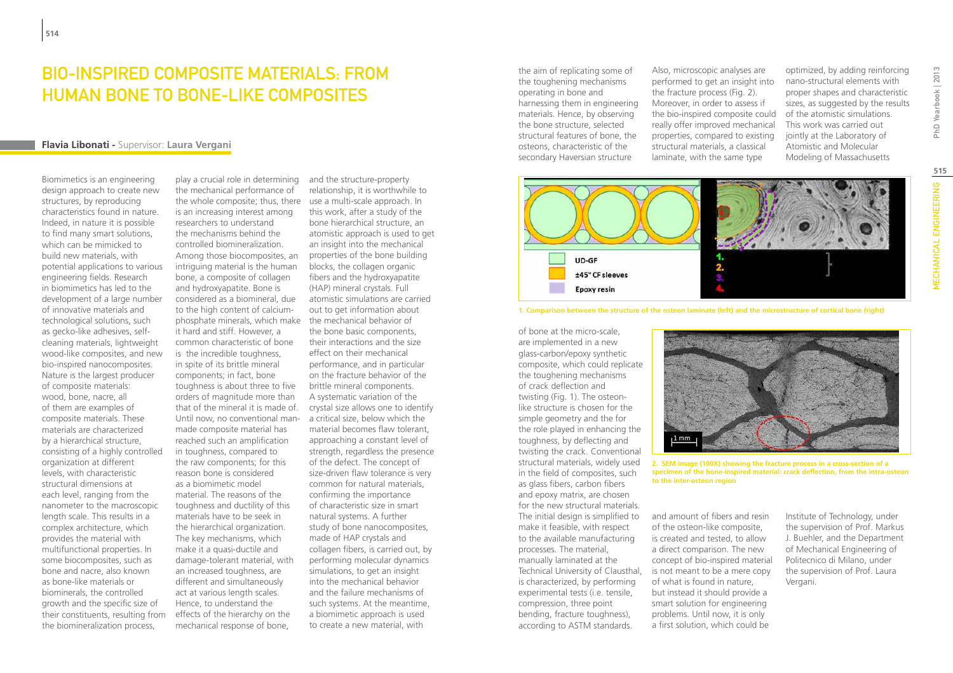### Bio-inspired composite materials: from human bone to bone-like composites

#### **Flavia Libonati -** Supervisor: **Laura Vergani**

Biomimetics is an engineering design approach to create new structures, by reproducing characteristics found in nature. Indeed, in nature it is possible to find many smart solutions, which can be mimicked to build new materials, with potential applications to various engineering fields. Research in biomimetics has led to the development of a large number of innovative materials and technological solutions, such as gecko-like adhesives, selfcleaning materials, lightweight wood-like composites, and new bio-inspired nanocomposites. Nature is the largest producer of composite materials: wood, bone, nacre, all of them are examples of composite materials. These materials are characterized by a hierarchical structure, consisting of a highly controlled organization at different levels, with characteristic structural dimensions at each level, ranging from the nanometer to the macroscopic length scale. This results in a complex architecture, which provides the material with multifunctional properties. In some biocomposites, such as bone and nacre, also known as bone-like materials or biominerals, the controlled growth and the specific size of their constituents, resulting from the biomineralization process,

play a crucial role in determining the mechanical performance of the whole composite; thus, there is an increasing interest among researchers to understand the mechanisms behind the controlled biomineralization. Among those biocomposites, an intriguing material is the human bone, a composite of collagen and hydroxyapatite. Bone is considered as a biomineral, due to the high content of calciumphosphate minerals, which make the mechanical behavior of it hard and stiff. However, a common characteristic of bone is the incredible toughness, in spite of its brittle mineral components; in fact, bone toughness is about three to five orders of magnitude more than that of the mineral it is made of. Until now, no conventional manmade composite material has reached such an amplification in toughness, compared to the raw components; for this reason bone is considered as a biomimetic model material. The reasons of the toughness and ductility of this materials have to be seek in the hierarchical organization. The key mechanisms, which make it a quasi-ductile and damage-tolerant material, with an increased toughness, are different and simultaneously act at various length scales. Hence, to understand the effects of the hierarchy on the mechanical response of bone,

and the structure-property relationship, it is worthwhile to use a multi-scale approach. In this work, after a study of the bone hierarchical structure, an atomistic approach is used to get an insight into the mechanical properties of the bone building blocks, the collagen organic fibers and the hydroxyapatite (HAP) mineral crystals. Full atomistic simulations are carried out to get information about the bone basic components, their interactions and the size effect on their mechanical performance, and in particular on the fracture behavior of the brittle mineral components. A systematic variation of the crystal size allows one to identify a critical size, below which the material becomes flaw tolerant, approaching a constant level of strength, regardless the presence of the defect. The concept of size-driven flaw tolerance is very common for natural materials, confirming the importance of characteristic size in smart natural systems. A further study of bone nanocomposites, made of HAP crystals and collagen fibers, is carried out, by performing molecular dynamics simulations, to get an insight into the mechanical behavior and the failure mechanisms of such systems. At the meantime, a biomimetic approach is used to create a new material, with

the aim of replicating some of the toughening mechanisms operating in bone and harnessing them in engineering materials. Hence, by observing the bone structure, selected structural features of bone, the osteons, characteristic of the secondary Haversian structure

Also, microscopic analyses are performed to get an insight into the fracture process (Fig. 2). Moreover, in order to assess if the bio-inspired composite could really offer improved mechanical properties, compared to existing structural materials, a classical laminate, with the same type

optimized, by adding reinforcing nano-structural elements with proper shapes and characteristic sizes, as suggested by the results of the atomistic simulations. This work was carried out jointly at the Laboratory of Atomistic and Molecular Modeling of Massachusetts

# 4.  $UD-GF$  $\frac{2}{3}$ ±45° CF sleeves **Epoxy resin**



of bone at the micro-scale, are implemented in a new glass-carbon/epoxy synthetic composite, which could replicate the toughening mechanisms of crack deflection and twisting (Fig. 1). The osteonlike structure is chosen for the simple geometry and the for the role played in enhancing the toughness, by deflecting and twisting the crack. Conventional structural materials, widely used in the field of composites, such as glass fibers, carbon fibers and epoxy matrix, are chosen for the new structural materials. The initial design is simplified to make it feasible, with respect to the available manufacturing processes. The material, manually laminated at the Technical University of Clausthal, is not meant to be a mere copy is characterized, by performing experimental tests (i.e. tensile, compression, three point bending, fracture toughness), according to ASTM standards.



**2. SEM image (100X) showing the fracture process in a cross-section of a specimen of the bone-inspired material: crack deflection, from the intra-osteon to the inter-osteon region**

and amount of fibers and resin of the osteon-like composite, is created and tested, to allow a direct comparison. The new concept of bio-inspired material of what is found in nature, but instead it should provide a smart solution for engineering problems. Until now, it is only a first solution, which could be

Institute of Technology, under the supervision of Prof. Markus J. Buehler, and the Department of Mechanical Engineering of Politecnico di Milano, under the supervision of Prof. Laura Vergani.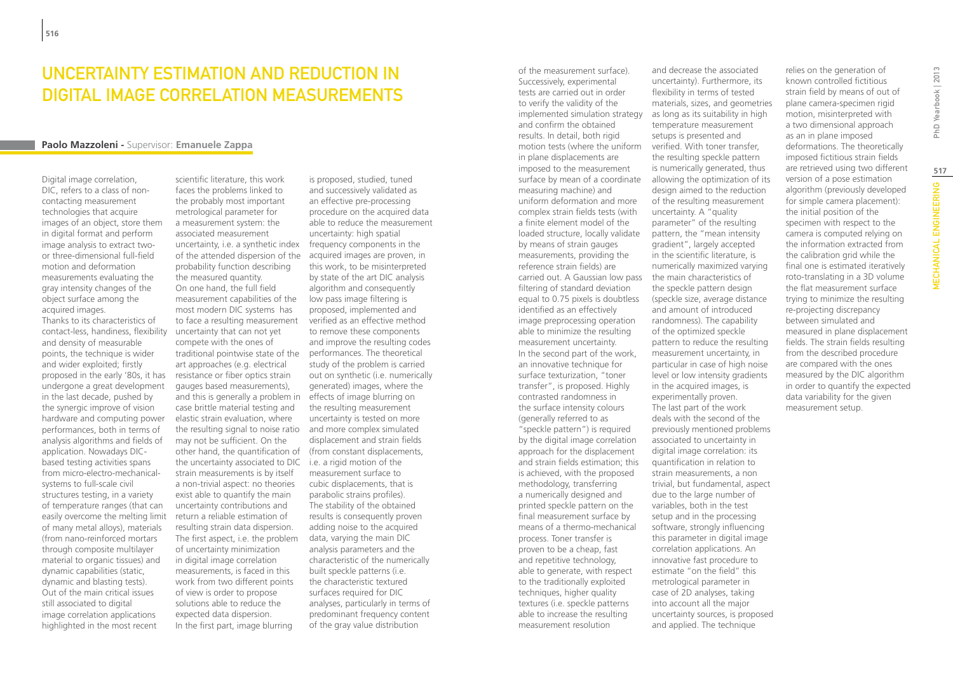### Uncertainty estimation and reduction in digital image correlation measurements

#### **Paolo Mazzoleni -** Supervisor: **Emanuele Zappa**

Digital image correlation, DIC, refers to a class of noncontacting measurement technologies that acquire images of an object, store them in digital format and perform image analysis to extract twoor three-dimensional full-field motion and deformation measurements evaluating the gray intensity changes of the object surface among the acquired images.

Thanks to its characteristics of contact-less, handiness, flexibility and density of measurable points, the technique is wider and wider exploited; firstly proposed in the early '80s, it has undergone a great development in the last decade, pushed by the synergic improve of vision hardware and computing power performances, both in terms of analysis algorithms and fields of application. Nowadays DICbased testing activities spans from micro-electro-mechanicalsystems to full-scale civil structures testing, in a variety of temperature ranges (that can easily overcome the melting limit of many metal alloys), materials (from nano-reinforced mortars through composite multilayer material to organic tissues) and dynamic capabilities (static, dynamic and blasting tests). Out of the main critical issues still associated to digital image correlation applications highlighted in the most recent

scientific literature, this work faces the problems linked to the probably most important metrological parameter for a measurement system: the associated measurement uncertainty, i.e. a synthetic index frequency components in the of the attended dispersion of the probability function describing the measured quantity. On one hand, the full field measurement capabilities of the most modern DIC systems has to face a resulting measurement uncertainty that can not yet compete with the ones of traditional pointwise state of the performances. The theoretical art approaches (e.g. electrical resistance or fiber optics strain gauges based measurements), and this is generally a problem in case brittle material testing and elastic strain evaluation, where the resulting signal to noise ratio and more complex simulated may not be sufficient. On the other hand, the quantification of (from constant displacements, the uncertainty associated to DIC i.e. a rigid motion of the strain measurements is by itself a non-trivial aspect: no theories exist able to quantify the main uncertainty contributions and return a reliable estimation of resulting strain data dispersion. The first aspect, i.e. the problem of uncertainty minimization in digital image correlation measurements, is faced in this work from two different points of view is order to propose solutions able to reduce the expected data dispersion. In the first part, image blurring

is proposed, studied, tuned and successively validated as an effective pre-processing procedure on the acquired data able to reduce the measurement uncertainty: high spatial acquired images are proven, in this work, to be misinterpreted by state of the art DIC analysis algorithm and consequently low pass image filtering is proposed, implemented and verified as an effective method to remove these components and improve the resulting codes study of the problem is carried out on synthetic (i.e. numerically generated) images, where the effects of image blurring on the resulting measurement uncertainty is tested on more displacement and strain fields measurement surface to cubic displacements, that is parabolic strains profiles). The stability of the obtained results is consequently proven adding noise to the acquired data, varying the main DIC analysis parameters and the characteristic of the numerically built speckle patterns (i.e. the characteristic textured surfaces required for DIC analyses, particularly in terms of predominant frequency content of the gray value distribution

of the measurement surface). Successively, experimental tests are carried out in order to verify the validity of the implemented simulation strategy and confirm the obtained results. In detail, both rigid motion tests (where the uniform verified. With toner transfer, in plane displacements are imposed to the measurement surface by mean of a coordinate measuring machine) and uniform deformation and more complex strain fields tests (with a finite element model of the loaded structure, locally validate by means of strain gauges measurements, providing the reference strain fields) are carried out. A Gaussian low pass filtering of standard deviation equal to 0.75 pixels is doubtless identified as an effectively image preprocessing operation able to minimize the resulting measurement uncertainty. In the second part of the work, an innovative technique for surface texturization, "toner transfer", is proposed. Highly contrasted randomness in the surface intensity colours (generally referred to as "speckle pattern") is required by the digital image correlation approach for the displacement and strain fields estimation; this is achieved, with the proposed methodology, transferring a numerically designed and printed speckle pattern on the final measurement surface by means of a thermo-mechanical process. Toner transfer is proven to be a cheap, fast and repetitive technology, able to generate, with respect to the traditionally exploited techniques, higher quality textures (i.e. speckle patterns able to increase the resulting measurement resolution

and decrease the associated uncertainty). Furthermore, its flexibility in terms of tested materials, sizes, and geometries as long as its suitability in high temperature measurement setups is presented and the resulting speckle pattern is numerically generated, thus allowing the optimization of its design aimed to the reduction of the resulting measurement uncertainty. A "quality parameter" of the resulting pattern, the "mean intensity gradient", largely accepted in the scientific literature, is numerically maximized varying the main characteristics of the speckle pattern design (speckle size, average distance and amount of introduced randomness). The capability of the optimized speckle pattern to reduce the resulting measurement uncertainty, in particular in case of high noise level or low intensity gradients in the acquired images, is experimentally proven. The last part of the work deals with the second of the previously mentioned problems associated to uncertainty in digital image correlation: its quantification in relation to strain measurements, a non trivial, but fundamental, aspect due to the large number of variables, both in the test setup and in the processing software, strongly influencing this parameter in digital image correlation applications. An innovative fast procedure to estimate "on the field" this metrological parameter in case of 2D analyses, taking into account all the major uncertainty sources, is proposed and applied. The technique

relies on the generation of known controlled fictitious strain field by means of out of plane camera-specimen rigid motion, misinterpreted with a two dimensional approach as an in plane imposed deformations. The theoretically imposed fictitious strain fields are retrieved using two different version of a pose estimation algorithm (previously developed for simple camera placement): the initial position of the specimen with respect to the camera is computed relying on the information extracted from the calibration grid while the final one is estimated iteratively roto-translating in a 3D volume the flat measurement surface trying to minimize the resulting re-projecting discrepancy between simulated and measured in plane displacement fields. The strain fields resulting from the described procedure are compared with the ones measured by the DIC algorithm in order to quantify the expected data variability for the given measurement setup.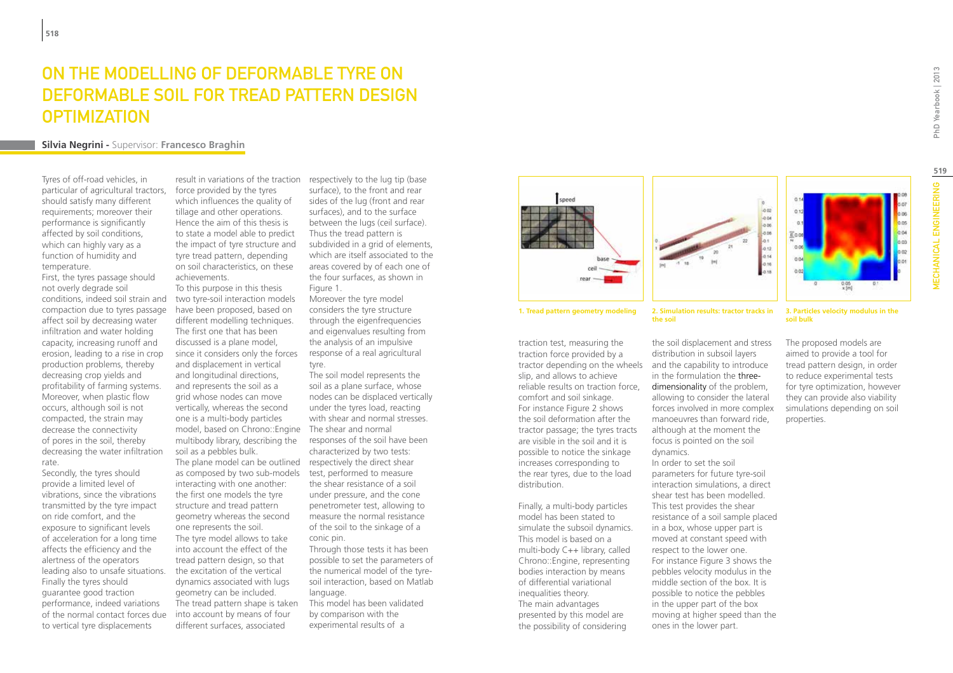### ON THE MODELLING OF DEFORMABLE TYRE ON deformable soil for tread pattern design **OPTIMIZATION**

#### **Silvia Negrini -** Supervisor: **Francesco Braghin**

Tyres of off-road vehicles, in particular of agricultural tractors, should satisfy many different requirements; moreover their performance is significantly affected by soil conditions, which can highly vary as a function of humidity and temperature.

First, the tyres passage should not overly degrade soil conditions, indeed soil strain and compaction due to tyres passage affect soil by decreasing water infiltration and water holding capacity, increasing runoff and erosion, leading to a rise in crop production problems, thereby decreasing crop yields and profitability of farming systems. Moreover, when plastic flow occurs, although soil is not compacted, the strain may decrease the connectivity of pores in the soil, thereby decreasing the water infiltration rate.

Secondly, the tyres should provide a limited level of vibrations, since the vibrations transmitted by the tyre impact on ride comfort, and the exposure to significant levels of acceleration for a long time affects the efficiency and the alertness of the operators leading also to unsafe situations. Finally the tyres should guarantee good traction performance, indeed variations of the normal contact forces due to vertical tyre displacements

result in variations of the traction respectively to the lug tip (base force provided by the tyres which influences the quality of tillage and other operations. Hence the aim of this thesis is to state a model able to predict the impact of tyre structure and tyre tread pattern, depending on soil characteristics, on these achievements.

To this purpose in this thesis two tyre-soil interaction models have been proposed, based on different modelling techniques. The first one that has been discussed is a plane model, since it considers only the forces and displacement in vertical and longitudinal directions, and represents the soil as a grid whose nodes can move vertically, whereas the second one is a multi-body particles model, based on Chrono::Engine The shear and normal multibody library, describing the soil as a pebbles bulk. The plane model can be outlined respectively the direct shear as composed by two sub-models test, performed to measure interacting with one another: the first one models the tyre structure and tread pattern geometry whereas the second one represents the soil. The tyre model allows to take into account the effect of the tread pattern design, so that the excitation of the vertical dynamics associated with lugs geometry can be included. The tread pattern shape is taken into account by means of four different surfaces, associated

surface), to the front and rear sides of the lug (front and rear surfaces), and to the surface between the lugs (ceil surface). Thus the tread pattern is subdivided in a grid of elements, which are itself associated to the areas covered by of each one of the four surfaces, as shown in Figure 1.

Moreover the tyre model considers the tyre structure through the eigenfrequencies and eigenvalues resulting from the analysis of an impulsive response of a real agricultural tyre.

The soil model represents the soil as a plane surface, whose nodes can be displaced vertically under the tyres load, reacting with shear and normal stresses. responses of the soil have been characterized by two tests: the shear resistance of a soil under pressure, and the cone penetrometer test, allowing to measure the normal resistance

of the soil to the sinkage of a conic pin. Through those tests it has been

possible to set the parameters of the numerical model of the tyresoil interaction, based on Matlab language.

This model has been validated by comparison with the experimental results of a





三0.08

traction test, measuring the traction force provided by a tractor depending on the wheels and the capability to introduce slip, and allows to achieve reliable results on traction force, comfort and soil sinkage. For instance Figure 2 shows the soil deformation after the tractor passage; the tyres tracts are visible in the soil and it is possible to notice the sinkage increases corresponding to the rear tyres, due to the load distribution.

Finally, a multi-body particles model has been stated to simulate the subsoil dynamics. This model is based on a multi-body C++ library, called Chrono::Engine, representing bodies interaction by means of differential variational inequalities theory. The main advantages presented by this model are the possibility of considering

**1. Tread pattern geometry modeling 2. Simulation results: tractor tracks in the soil**

> the soil displacement and stress distribution in subsoil layers in the formulation the threedimensionality of the problem, allowing to consider the lateral forces involved in more complex manoeuvres than forward ride, although at the moment the focus is pointed on the soil dynamics. In order to set the soil parameters for future tyre-soil interaction simulations, a direct shear test has been modelled. This test provides the shear resistance of a soil sample placed in a box, whose upper part is moved at constant speed with respect to the lower one. For instance Figure 3 shows the pebbles velocity modulus in the middle section of the box. It is possible to notice the pebbles in the upper part of the box moving at higher speed than the ones in the lower part.

#### **3. Particles velocity modulus in the soil bulk**

The proposed models are aimed to provide a tool for tread pattern design, in order to reduce experimental tests for tyre optimization, however they can provide also viability simulations depending on soil properties.

**519**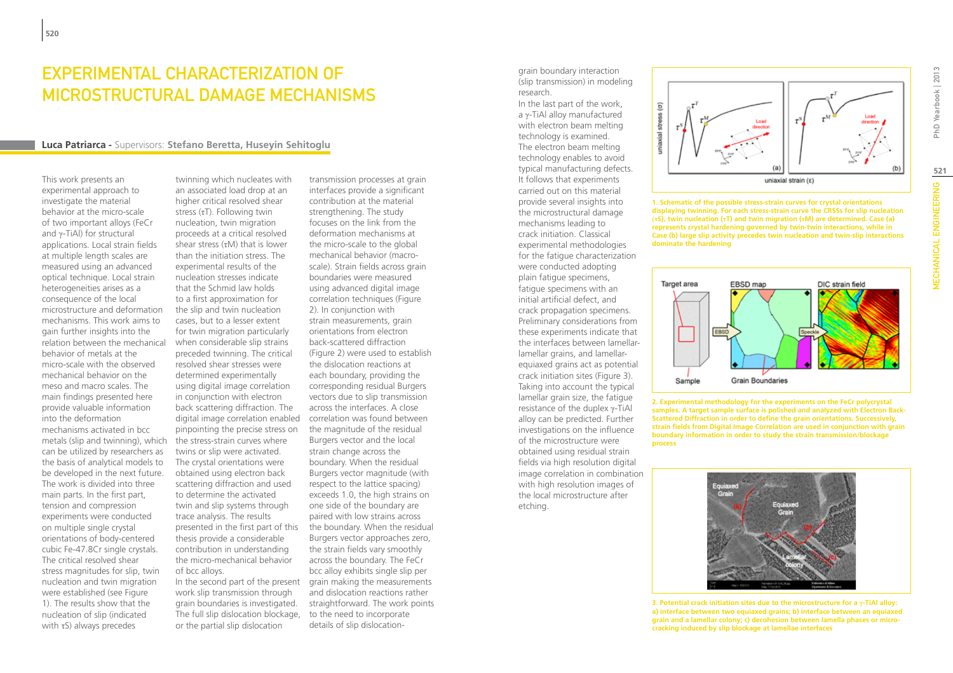### Experimental characterization of microstructural damage mechanisms

#### **Luca Patriarca -** Supervisors: **Stefano Beretta, Huseyin Sehitoglu**

This work presents an experimental approach to investigate the material behavior at the micro-scale of two important alloys (FeCr and γ-TiAl) for structural applications. Local strain fields at multiple length scales are measured using an advanced optical technique. Local strain heterogeneities arises as a consequence of the local microstructure and deformation mechanisms. This work aims to gain further insights into the relation between the mechanical behavior of metals at the micro-scale with the observed mechanical behavior on the meso and macro scales. The main findings presented here provide valuable information into the deformation mechanisms activated in bcc metals (slip and twinning), which the stress-strain curves where can be utilized by researchers as the basis of analytical models to be developed in the next future. The work is divided into three main parts. In the first part, tension and compression experiments were conducted on multiple single crystal orientations of body-centered cubic Fe-47.8Cr single crystals. The critical resolved shear stress magnitudes for slip, twin nucleation and twin migration were established (see Figure 1). The results show that the nucleation of slip (indicated with  $\tau S$ ) always precedes

twinning which nucleates with an associated load drop at an higher critical resolved shear stress (τT). Following twin nucleation, twin migration proceeds at a critical resolved shear stress  $(\tau M)$  that is lower than the initiation stress. The experimental results of the nucleation stresses indicate that the Schmid law holds to a first approximation for the slip and twin nucleation cases, but to a lesser extent for twin migration particularly when considerable slip strains preceded twinning. The critical resolved shear stresses were determined experimentally using digital image correlation in conjunction with electron back scattering diffraction. The digital image correlation enabled correlation was found between pinpointing the precise stress on twins or slip were activated. The crystal orientations were obtained using electron back scattering diffraction and used to determine the activated twin and slip systems through trace analysis. The results presented in the first part of this thesis provide a considerable contribution in understanding the micro-mechanical behavior of bcc alloys. In the second part of the present

work slip transmission through grain boundaries is investigated. The full slip dislocation blockage, to the need to incorporate or the partial slip dislocation

transmission processes at grain interfaces provide a significant contribution at the material strengthening. The study focuses on the link from the deformation mechanisms at the micro-scale to the global mechanical behavior (macroscale). Strain fields across grain boundaries were measured using advanced digital image correlation techniques (Figure 2). In conjunction with strain measurements, grain orientations from electron back-scattered diffraction (Figure 2) were used to establish the dislocation reactions at each boundary, providing the corresponding residual Burgers vectors due to slip transmission across the interfaces. A close the magnitude of the residual Burgers vector and the local strain change across the boundary. When the residual Burgers vector magnitude (with respect to the lattice spacing) exceeds 1.0, the high strains on one side of the boundary are paired with low strains across the boundary. When the residual Burgers vector approaches zero, the strain fields vary smoothly across the boundary. The FeCr bcc alloy exhibits single slip per grain making the measurements and dislocation reactions rather straightforward. The work points details of slip dislocationgrain boundary interaction (slip transmission) in modeling research.

In the last part of the work, a γ-TiAl alloy manufactured with electron beam melting technology is examined. The electron beam melting technology enables to avoid typical manufacturing defects. It follows that experiments carried out on this material provide several insights into the microstructural damage mechanisms leading to crack initiation. Classical experimental methodologies for the fatigue characterization were conducted adopting plain fatigue specimens, fatigue specimens with an initial artificial defect, and crack propagation specimens. Preliminary considerations from these experiments indicate that the interfaces between lamellarlamellar grains, and lamellarequiaxed grains act as potential crack initiation sites (Figure 3). Taking into account the typical lamellar grain size, the fatigue resistance of the duplex γ-TiAl alloy can be predicted. Further investigations on the influence of the microstructure were obtained using residual strain fields via high resolution digital image correlation in combination with high resolution images of the local microstructure after

etching.



**1. Schematic of the possible stress-strain curves for crystal orientations displaying twinning. For each stress-strain curve the CRSSs for slip nucleation (τS), twin nucleation (τT) and twin migration (τM) are determined. Case (a) represents crystal hardening governed by twin-twin interactions, while in Case (b) large slip activity precedes twin nucleation and twin-slip interactions dominate the hardening**



**2. Experimental methodology for the experiments on the FeCr polycrystal samples. A target sample surface is polished and analyzed with Electron Back-Scattered Diffraction in order to define the grain orientations. Successively, strain fields from Digital Image Correlation are used in conjunction with grain boundary information in order to study the strain transmission/blockage process**



**3. Potential crack initiation sites due to the microstructure for a γ-TiAl alloy: a) interface between two equiaxed grains; b) interface between an equiaxed grain and a lamellar colony; c) decohesion between lamella phases or microcracking induced by slip blockage at lamellae interfaces**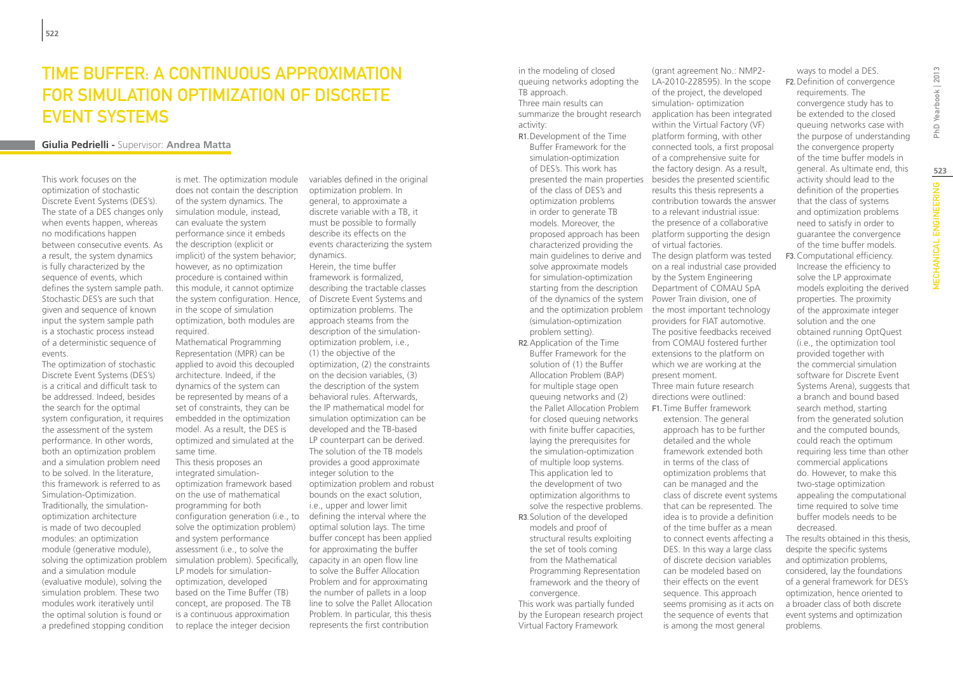# Time Buffer: a continuous approximation for Simulation Optimization of Discrete **EVENT SYSTEMS**

#### **Giulia Pedrielli -** Supervisor: **Andrea Matta**

This work focuses on the optimization of stochastic Discrete Event Systems (DES's). The state of a DES changes only when events happen, whereas no modifications happen between consecutive events. As a result, the system dynamics is fully characterized by the sequence of events, which defines the system sample path. Stochastic DES's are such that given and sequence of known input the system sample path is a stochastic process instead of a deterministic sequence of events.

The optimization of stochastic Discrete Event Systems (DES's) is a critical and difficult task to be addressed. Indeed, besides the search for the optimal system configuration, it requires the assessment of the system performance. In other words, both an optimization problem and a simulation problem need to be solved. In the literature, this framework is referred to as Simulation-Optimization. Traditionally, the simulationoptimization architecture is made of two decoupled modules: an optimization module (generative module), solving the optimization problem and a simulation module (evaluative module), solving the simulation problem. These two modules work iteratively until the optimal solution is found or a predefined stopping condition

is met. The optimization module does not contain the description of the system dynamics. The simulation module, instead, can evaluate the system performance since it embeds the description (explicit or implicit) of the system behavior; however, as no optimization procedure is contained within this module, it cannot optimize the system configuration. Hence, of Discrete Event Systems and in the scope of simulation optimization, both modules are required.

Mathematical Programming Representation (MPR) can be applied to avoid this decoupled architecture. Indeed, if the dynamics of the system can be represented by means of a set of constraints, they can be embedded in the optimization model. As a result, the DES is optimized and simulated at the same time.

This thesis proposes an integrated simulationoptimization framework based on the use of mathematical programming for both configuration generation (i.e., to solve the optimization problem) and system performance assessment (i.e., to solve the simulation problem). Specifically, LP models for simulationoptimization, developed based on the Time Buffer (TB) concept, are proposed. The TB is a continuous approximation to replace the integer decision

variables defined in the original optimization problem. In general, to approximate a discrete variable with a TB, it must be possible to formally describe its effects on the events characterizing the system dynamics. Herein, the time buffer framework is formalized,

describing the tractable classes optimization problems. The approach steams from the description of the simulationoptimization problem, i.e., (1) the objective of the optimization, (2) the constraints on the decision variables, (3) the description of the system behavioral rules. Afterwards, the IP mathematical model for simulation optimization can be developed and the TB-based LP counterpart can be derived. The solution of the TB models provides a good approximate integer solution to the optimization problem and robust bounds on the exact solution, i.e., upper and lower limit defining the interval where the optimal solution lays. The time buffer concept has been applied for approximating the buffer capacity in an open flow line to solve the Buffer Allocation Problem and for approximating the number of pallets in a loop line to solve the Pallet Allocation Problem. In particular, this thesis represents the first contribution

in the modeling of closed queuing networks adopting the TB approach. Three main results can summarize the brought research activity:

R1.Development of the Time Buffer Framework for the simulation-optimization of DES's. This work has presented the main properties of the class of DES's and optimization problems in order to generate TB models. Moreover, the proposed approach has been characterized providing the main guidelines to derive and solve approximate models for simulation-optimization starting from the description of the dynamics of the system Power Train division, one of (simulation-optimization problem setting).

R2.Application of the Time Buffer Framework for the solution of (1) the Buffer Allocation Problem (BAP) for multiple stage open queuing networks and (2) the Pallet Allocation Problem for closed queuing networks with finite buffer capacities, laying the prerequisites for the simulation-optimization of multiple loop systems. This application led to the development of two optimization algorithms to solve the respective problems. R3.Solution of the developed models and proof of structural results exploiting the set of tools coming from the Mathematical Programming Representation framework and the theory of convergence.

This work was partially funded by the European research project Virtual Factory Framework

and the optimization problem the most important technology (grant agreement No.: NMP2- LA-2010-228595). In the scope of the project, the developed simulation- optimization application has been integrated within the Virtual Factory (VF) platform forming, with other connected tools, a first proposal of a comprehensive suite for the factory design. As a result, besides the presented scientific results this thesis represents a contribution towards the answer to a relevant industrial issue: the presence of a collaborative platform supporting the design of virtual factories. The design platform was tested on a real industrial case provided by the System Engineering Department of COMAU SpA providers for FIAT automotive. The positive feedbacks received from COMAU fostered further extensions to the platform on which we are working at the present moment. Three main future research directions were outlined: F1. Time Buffer framework

extension. The general approach has to be further detailed and the whole framework extended both in terms of the class of optimization problems that can be managed and the class of discrete event systems that can be represented. The idea is to provide a definition of the time buffer as a mean to connect events affecting a DES. In this way a large class of discrete decision variables can be modeled based on their effects on the event sequence. This approach seems promising as it acts on the sequence of events that is among the most general

ways to model a DES. F2.Definition of convergence requirements. The convergence study has to be extended to the closed queuing networks case with the purpose of understanding the convergence property of the time buffer models in general. As ultimate end, this activity should lead to the definition of the properties that the class of systems and optimization problems need to satisfy in order to guarantee the convergence of the time buffer models. F3.Computational efficiency. Increase the efficiency to solve the LP approximate models exploiting the derived properties. The proximity of the approximate integer solution and the one obtained running OptQuest (i.e., the optimization tool

provided together with the commercial simulation software for Discrete Event Systems Arena), suggests that a branch and bound based search method, starting from the generated solution and the computed bounds, could reach the optimum requiring less time than other commercial applications do. However, to make this two-stage optimization appealing the computational time required to solve time buffer models needs to be decreased.

The results obtained in this thesis, despite the specific systems and optimization problems, considered, lay the foundations of a general framework for DES's optimization, hence oriented to a broader class of both discrete event systems and optimization problems.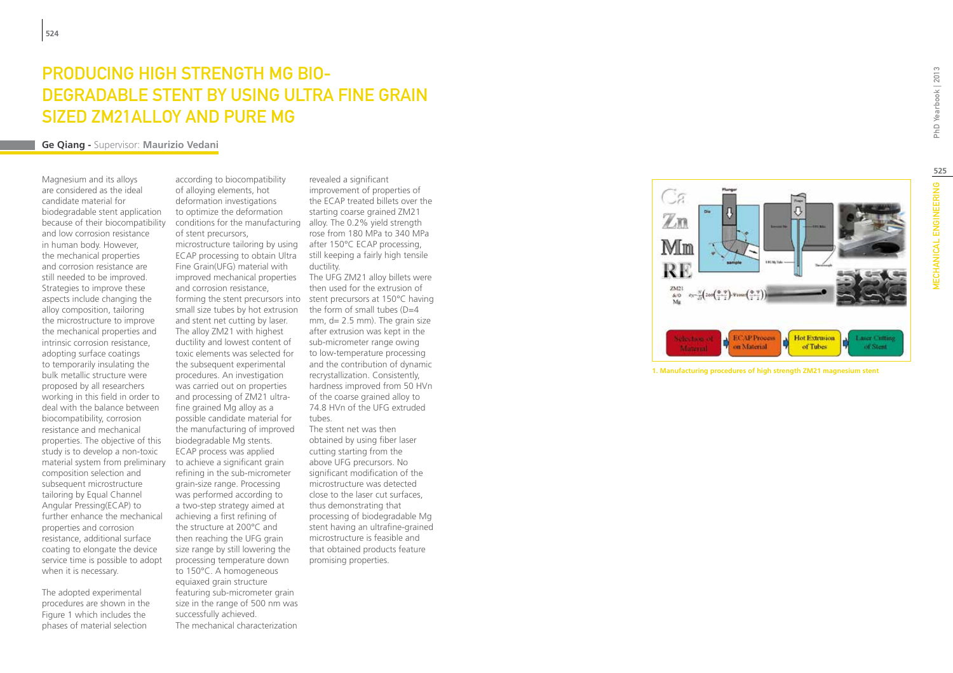# PRODUCING HIGH STRENGTH MG BIO-DEGRADABLE STENT BY USING ULTRA FINE G Si zed ZM21Alloy and Pure M

#### **Ge Qiang -** Supervisor: **Maurizio Vedani**

Magnesium and its alloys are considered as the ideal candidate material for biodegradable stent application because of their biocompatibility and low corrosion resistance in human body. However, the mechanical properties and corrosion resistance are still needed to be improved. Strategies to improve these aspects include changing the alloy composition, tailoring the microstructure to improve the mechanical properties and intrinsic corrosion resistance, adopting surface coatings to temporarily insulating the bulk metallic structure were proposed by all researchers working in this field in order to deal with the balance between biocompatibility, corrosion resistance and mechanical properties. The objective of this study is to develop a non-toxic material system from preliminary composition selection and subsequent microstructure tailoring by Equal Channel Angular Pressing(ECAP) to further enhance the mechanical properties and corrosion resistance, additional surface coating to elongate the device service time is possible to adopt when it is necessary.

The adopted experimental procedures are shown in the Figure 1 which includes the phases of material selection

according to biocompatibility of alloying elements, hot deformation investigations to optimize the deformation conditions for the manufacturing alloy. The 0.2% yield strength of stent precursors, microstructure tailoring by using after 150°C ECAP processing, ECAP processing to obtain Ultra Fine Grain(UFG) material with improved mechanical properties and corrosion resistance, small size tubes by hot extrusion and stent net cutting by laser. The alloy ZM21 with highest ductility and lowest content of toxic elements was selected for the subsequent experimental procedures. An investigation was carried out on properties and processing of ZM21 ultrafine grained Mg alloy as a possible candidate material for the manufacturing of improved biodegradable Mg stents. ECAP process was applied to achieve a significant grain refining in the sub-micrometer grain-size range. Processing was performed according to a two-step strategy aimed at achieving a first refining of the structure at 200°C and then reaching the UFG grain size range by still lowering the processing temperature down to 150°C. A homogeneous equiaxed grain structure featuring sub-micrometer grain size in the range of 500 nm was successfully achieved. The mechanical characterization

forming the stent precursors into stent precursors at 150°C having revealed a significant improvement of properties of the ECAP treated billets over the starting coarse grained ZM21 rose from 180 MPa to 340 MPa still keeping a fairly high tensile ductility. The UFG ZM21 alloy billets were then used for the extrusion of the form of small tubes  $(D=4$ mm, d= 2.5 mm). The grain size after extrusion was kept in the sub-micrometer range owing to low-temperature processing and the contribution of dynamic recrystallization. Consistently, hardness improved from 50 HVn of the coarse grained alloy to 74.8 HVn of the UFG extruded tubes.

> The stent net was then obtained by using fiber laser cutting starting from the above UFG precursors. No significant modification of the microstructure was detected close to the laser cut surfaces, thus demonstrating that processing of biodegradable Mg stent having an ultrafine-grained microstructure is feasible and that obtained products feature promising properties.

 $\mathbb{Z}^m$ Mm **RF**  $rac{2M21}{& 60}$  $E_{\mathcal{N}} = \frac{N}{E} \left( 2 \cos \left( \frac{\Phi - \Psi}{2} \right) - \Psi \cos \omega \right)$ **ECAP Process Hot Extrusion** Laser Cutting on Material Material of Tubes of Stent

**1. Manufacturing procedures of high strength ZM21 magnesium stent**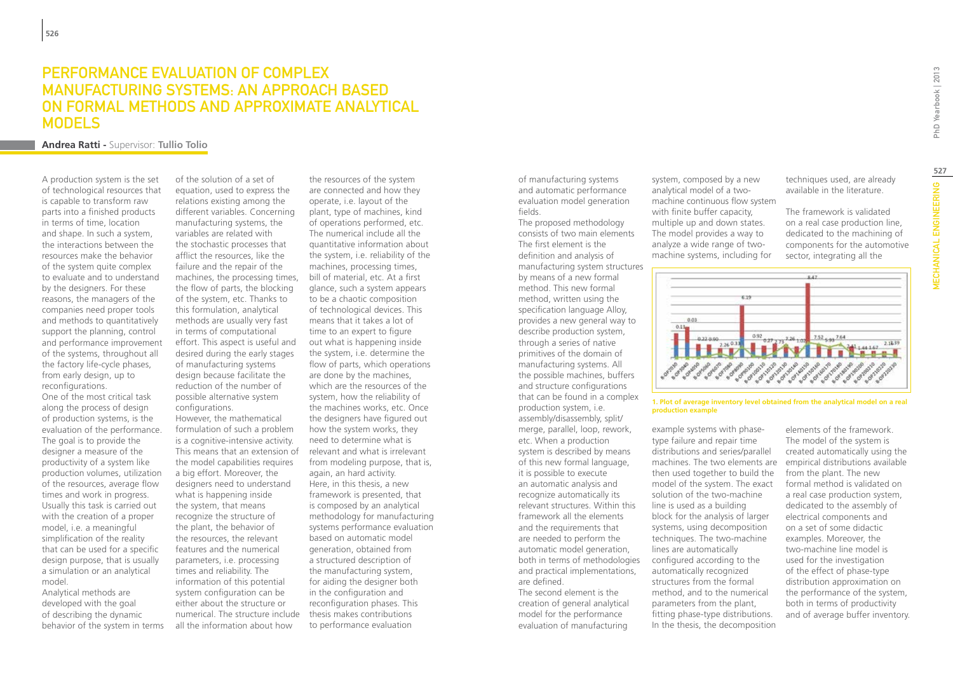### Performance evaluation of complex manufacturing systems: an approach based on formal methods and approximate analytical **MODELS**

**Andrea Ratti -** Supervisor: **Tullio Tolio**

A production system is the set of technological resources that is capable to transform raw parts into a finished products in terms of time, location and shape. In such a system, the interactions between the resources make the behavior of the system quite complex to evaluate and to understand by the designers. For these reasons, the managers of the companies need proper tools and methods to quantitatively support the planning, control and performance improvement of the systems, throughout all the factory life-cycle phases, from early design, up to reconfigurations.

One of the most critical task along the process of design of production systems, is the evaluation of the performance. The goal is to provide the designer a measure of the productivity of a system like production volumes, utilization of the resources, average flow times and work in progress. Usually this task is carried out with the creation of a proper model, i.e. a meaningful simplification of the reality that can be used for a specific design purpose, that is usually a simulation or an analytical model.

Analytical methods are developed with the goal of describing the dynamic behavior of the system in terms of the solution of a set of equation, used to express the relations existing among the different variables. Concerning manufacturing systems, the variables are related with the stochastic processes that afflict the resources, like the failure and the repair of the machines, the processing times, the flow of parts, the blocking of the system, etc. Thanks to this formulation, analytical methods are usually very fast in terms of computational effort. This aspect is useful and desired during the early stages of manufacturing systems design because facilitate the reduction of the number of possible alternative system configurations. However, the mathematical

formulation of such a problem is a cognitive-intensive activity. This means that an extension of the model capabilities requires a big effort. Moreover, the designers need to understand what is happening inside the system, that means recognize the structure of the plant, the behavior of the resources, the relevant features and the numerical parameters, i.e. processing times and reliability. The information of this potential system configuration can be either about the structure or numerical. The structure include all the information about how

the resources of the system are connected and how they operate, i.e. layout of the plant, type of machines, kind of operations performed, etc. The numerical include all the quantitative information about the system, i.e. reliability of the machines, processing times, bill of material, etc. At a first glance, such a system appears to be a chaotic composition of technological devices. This means that it takes a lot of time to an expert to figure out what is happening inside the system, i.e. determine the flow of parts, which operations are done by the machines, which are the resources of the system, how the reliability of the machines works, etc. Once the designers have figured out how the system works, they need to determine what is relevant and what is irrelevant from modeling purpose, that is, again, an hard activity. Here, in this thesis, a new framework is presented, that is composed by an analytical methodology for manufacturing systems performance evaluation based on automatic model generation, obtained from a structured description of the manufacturing system, for aiding the designer both in the configuration and reconfiguration phases. This thesis makes contributions to performance evaluation

of manufacturing systems and automatic performance evaluation model generation fields.

The proposed methodology consists of two main elements The first element is the definition and analysis of manufacturing system structures by means of a new formal method. This new formal method, written using the specification language Alloy, provides a new general way to describe production system, through a series of native primitives of the domain of manufacturing systems. All the possible machines, buffers and structure configurations that can be found in a complex production system, i.e. assembly/disassembly, split/ merge, parallel, loop, rework, etc. When a production system is described by means of this new formal language, it is possible to execute an automatic analysis and recognize automatically its relevant structures. Within this framework all the elements and the requirements that are needed to perform the automatic model generation, both in terms of methodologies and practical implementations, are defined. The second element is the

creation of general analytical model for the performance evaluation of manufacturing

system, composed by a new analytical model of a twomachine continuous flow system with finite buffer capacity, multiple up and down states. The model provides a way to analyze a wide range of twomachine systems, including for

techniques used, are already available in the literature.

The framework is validated on a real case production line, dedicated to the machining of components for the automotive sector, integrating all the



**1. Plot of average inventory level obtained from the analytical model on a real production example**

example systems with phasetype failure and repair time distributions and series/parallel machines. The two elements are then used together to build the model of the system. The exact solution of the two-machine line is used as a building block for the analysis of larger systems, using decomposition techniques. The two-machine lines are automatically configured according to the automatically recognized structures from the formal method, and to the numerical parameters from the plant, fitting phase-type distributions. In the thesis, the decomposition

elements of the framework. The model of the system is created automatically using the empirical distributions available from the plant. The new formal method is validated on a real case production system, dedicated to the assembly of electrical components and on a set of some didactic examples. Moreover, the two-machine line model is used for the investigation of the effect of phase-type distribution approximation on the performance of the system, both in terms of productivity and of average buffer inventory.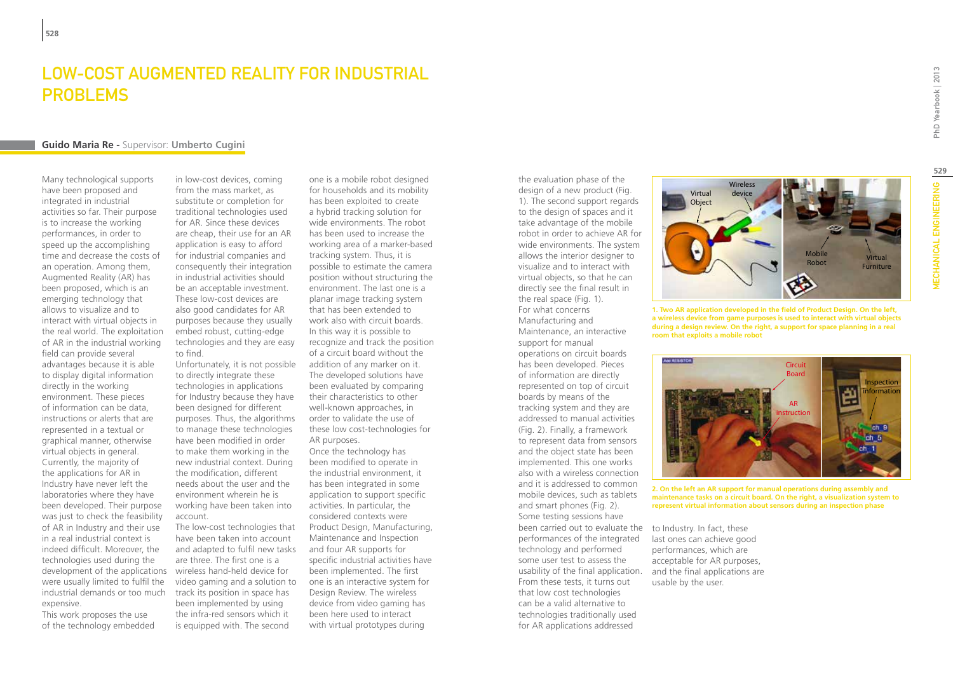### Low-cost Augmented Reality for Industrial **PROBLEMS**

#### **Guido Maria Re -** Supervisor: **Umberto Cugini**

Many technological supports have been proposed and integrated in industrial activities so far. Their purpose is to increase the working performances, in order to speed up the accomplishing time and decrease the costs of an operation. Among them, Augmented Reality (AR) has been proposed, which is an emerging technology that allows to visualize and to interact with virtual objects in the real world. The exploitation of AR in the industrial working field can provide several advantages because it is able to display digital information directly in the working environment. These pieces of information can be data, instructions or alerts that are represented in a textual or graphical manner, otherwise virtual objects in general. Currently, the majority of the applications for AR in Industry have never left the laboratories where they have been developed. Their purpose was just to check the feasibility of AR in Industry and their use in a real industrial context is indeed difficult. Moreover, the technologies used during the development of the applications wireless hand-held device for were usually limited to fulfil the industrial demands or too much expensive.

This work proposes the use of the technology embedded in low-cost devices, coming from the mass market, as substitute or completion for traditional technologies used for AR. Since these devices are cheap, their use for an AR application is easy to afford for industrial companies and consequently their integration in industrial activities should be an acceptable investment. These low-cost devices are also good candidates for AR purposes because they usually embed robust, cutting-edge technologies and they are easy to find.

Unfortunately, it is not possible to directly integrate these technologies in applications for Industry because they have been designed for different purposes. Thus, the algorithms to manage these technologies have been modified in order to make them working in the new industrial context. During the modification, different needs about the user and the environment wherein he is working have been taken into account.

The low-cost technologies that have been taken into account and adapted to fulfil new tasks are three. The first one is a video gaming and a solution to track its position in space has been implemented by using the infra-red sensors which it is equipped with. The second

one is a mobile robot designed for households and its mobility has been exploited to create a hybrid tracking solution for wide environments. The robot has been used to increase the working area of a marker-based tracking system. Thus, it is possible to estimate the camera position without structuring the environment. The last one is a planar image tracking system that has been extended to work also with circuit boards. In this way it is possible to recognize and track the position of a circuit board without the addition of any marker on it. The developed solutions have been evaluated by comparing their characteristics to other well-known approaches, in order to validate the use of these low cost-technologies for AR purposes. Once the technology has been modified to operate in the industrial environment, it has been integrated in some application to support specific activities. In particular, the considered contexts were Product Design, Manufacturing, Maintenance and Inspection and four AR supports for specific industrial activities have been implemented. The first one is an interactive system for Design Review. The wireless device from video gaming has been here used to interact with virtual prototypes during

design of a new product (Fig. 1). The second support regards to the design of spaces and it take advantage of the mobile robot in order to achieve AR for wide environments. The system allows the interior designer to visualize and to interact with virtual objects, so that he can directly see the final result in the real space (Fig. 1). For what concerns Manufacturing and Maintenance, an interactive support for manual operations on circuit boards has been developed. Pieces of information are directly represented on top of circuit boards by means of the tracking system and they are addressed to manual activities (Fig. 2). Finally, a framework to represent data from sensors and the object state has been implemented. This one works also with a wireless connection and it is addressed to common mobile devices, such as tablets and smart phones (Fig. 2). Some testing sessions have been carried out to evaluate the to Industry. In fact, these performances of the integrated technology and performed some user test to assess the usability of the final application. From these tests, it turns out that low cost technologies can be a valid alternative to technologies traditionally used for AR applications addressed

the evaluation phase of the

Virtual **Object** Wireless device Mobile MODILE Virtual **Furniture** 

**1. Two AR application developed in the field of Product Design. On the left, a wireless device from game purposes is used to interact with virtual objects during a design review. On the right, a support for space planning in a real room that exploits a mobile robot**

**2. On the left an AR support for manual operations during assembly and maintenance tasks on a circuit board. On the right, a visualization system to** 

last ones can achieve good performances, which are acceptable for AR purposes, and the final applications are usable by the user.

**represent virtual information about sensors during an inspection phase**

MECHANICAL ENGINEERING PhD Yearbook | 2013 **529MECHANICAL ENGINEERING**